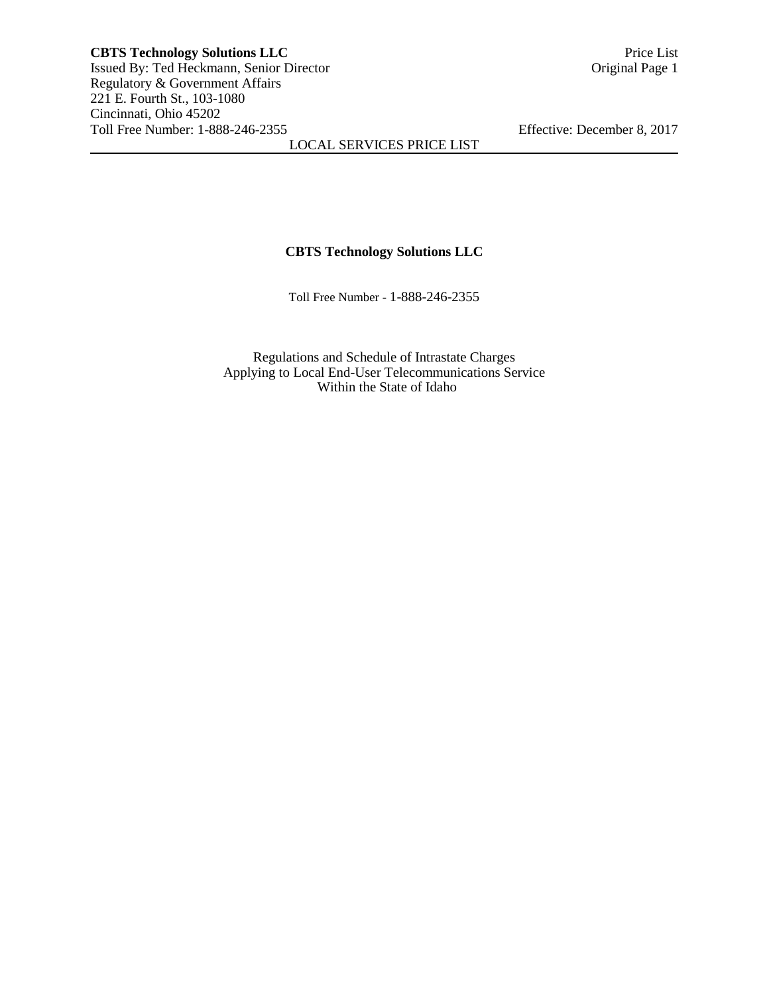# **CBTS Technology Solutions LLC**

Toll Free Number - 1-888-246-2355

Regulations and Schedule of Intrastate Charges Applying to Local End-User Telecommunications Service Within the State of Idaho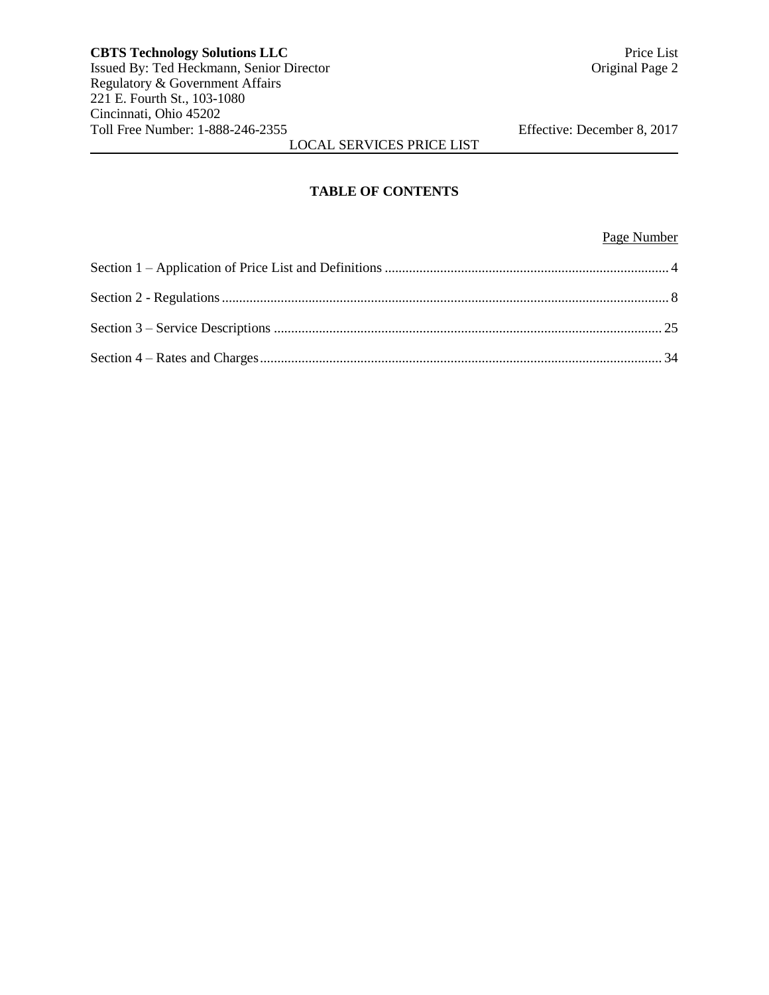# **TABLE OF CONTENTS**

# Page Number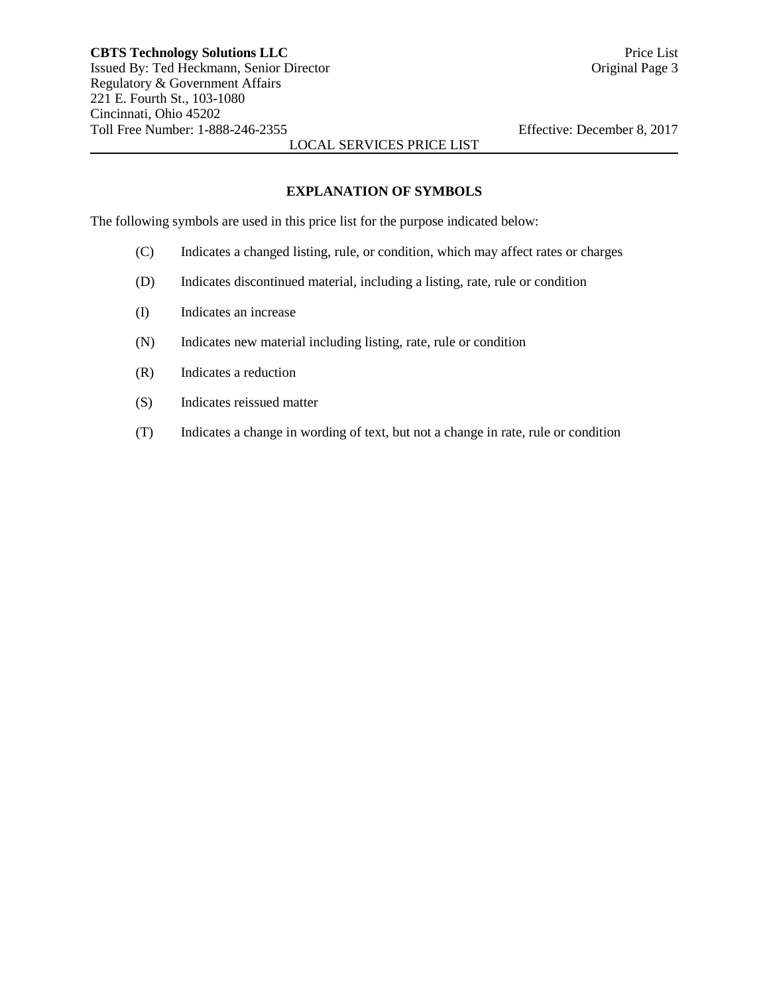# **EXPLANATION OF SYMBOLS**

The following symbols are used in this price list for the purpose indicated below:

- (C) Indicates a changed listing, rule, or condition, which may affect rates or charges
- (D) Indicates discontinued material, including a listing, rate, rule or condition
- (I) Indicates an increase
- (N) Indicates new material including listing, rate, rule or condition
- (R) Indicates a reduction
- (S) Indicates reissued matter
- (T) Indicates a change in wording of text, but not a change in rate, rule or condition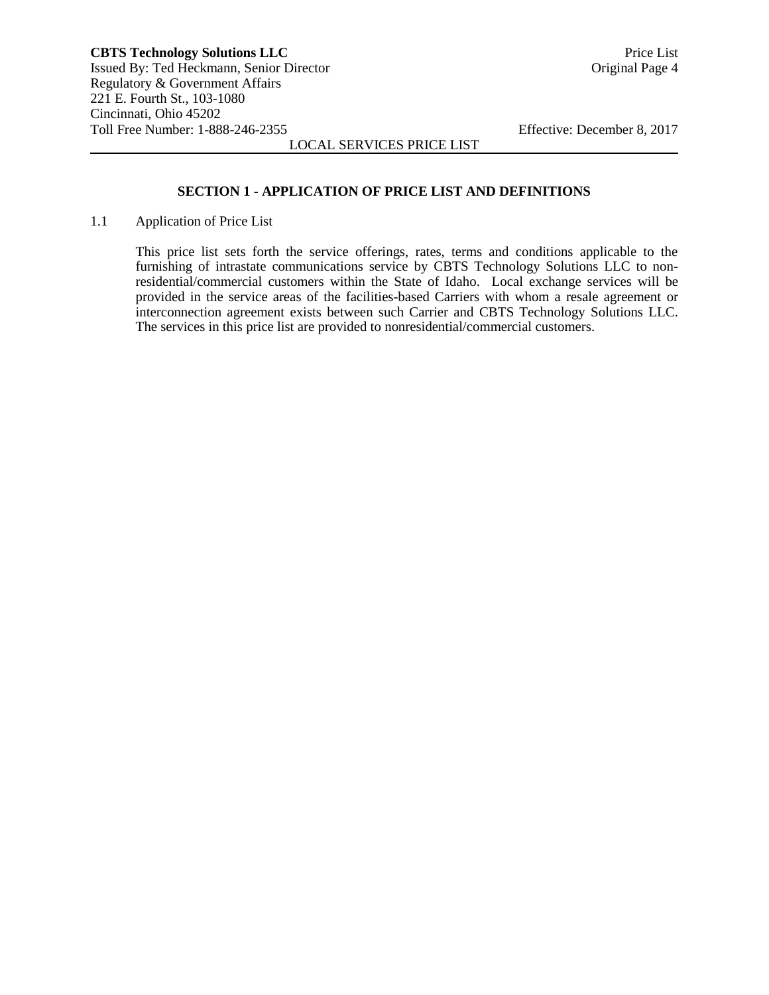#### **SECTION 1 - APPLICATION OF PRICE LIST AND DEFINITIONS**

1.1 Application of Price List

This price list sets forth the service offerings, rates, terms and conditions applicable to the furnishing of intrastate communications service by CBTS Technology Solutions LLC to nonresidential/commercial customers within the State of Idaho. Local exchange services will be provided in the service areas of the facilities-based Carriers with whom a resale agreement or interconnection agreement exists between such Carrier and CBTS Technology Solutions LLC. The services in this price list are provided to nonresidential/commercial customers.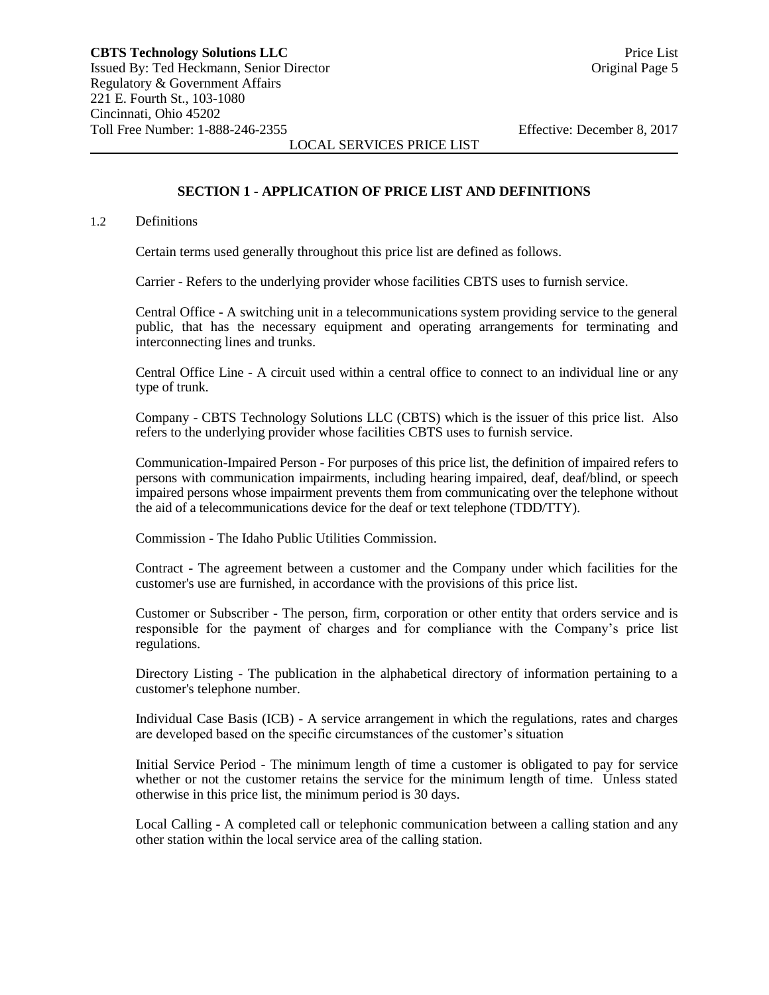## **SECTION 1 - APPLICATION OF PRICE LIST AND DEFINITIONS**

#### 1.2 Definitions

Certain terms used generally throughout this price list are defined as follows.

Carrier - Refers to the underlying provider whose facilities CBTS uses to furnish service.

Central Office - A switching unit in a telecommunications system providing service to the general public, that has the necessary equipment and operating arrangements for terminating and interconnecting lines and trunks.

Central Office Line - A circuit used within a central office to connect to an individual line or any type of trunk.

Company - CBTS Technology Solutions LLC (CBTS) which is the issuer of this price list. Also refers to the underlying provider whose facilities CBTS uses to furnish service.

Communication-Impaired Person - For purposes of this price list, the definition of impaired refers to persons with communication impairments, including hearing impaired, deaf, deaf/blind, or speech impaired persons whose impairment prevents them from communicating over the telephone without the aid of a telecommunications device for the deaf or text telephone (TDD/TTY).

Commission - The Idaho Public Utilities Commission.

Contract - The agreement between a customer and the Company under which facilities for the customer's use are furnished, in accordance with the provisions of this price list.

Customer or Subscriber - The person, firm, corporation or other entity that orders service and is responsible for the payment of charges and for compliance with the Company's price list regulations.

Directory Listing - The publication in the alphabetical directory of information pertaining to a customer's telephone number.

Individual Case Basis (ICB) - A service arrangement in which the regulations, rates and charges are developed based on the specific circumstances of the customer's situation

Initial Service Period - The minimum length of time a customer is obligated to pay for service whether or not the customer retains the service for the minimum length of time. Unless stated otherwise in this price list, the minimum period is 30 days.

Local Calling - A completed call or telephonic communication between a calling station and any other station within the local service area of the calling station.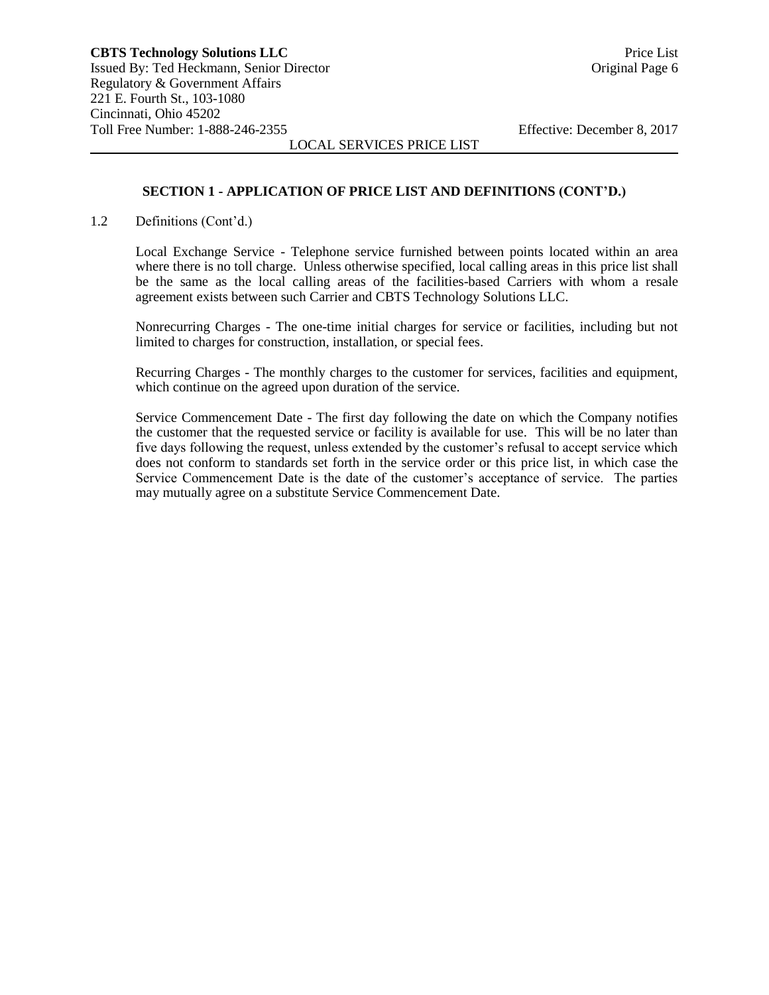# **SECTION 1 - APPLICATION OF PRICE LIST AND DEFINITIONS (CONT'D.)**

LOCAL SERVICES PRICE LIST

1.2 Definitions (Cont'd.)

Local Exchange Service - Telephone service furnished between points located within an area where there is no toll charge. Unless otherwise specified, local calling areas in this price list shall be the same as the local calling areas of the facilities-based Carriers with whom a resale agreement exists between such Carrier and CBTS Technology Solutions LLC.

Nonrecurring Charges - The one-time initial charges for service or facilities, including but not limited to charges for construction, installation, or special fees.

Recurring Charges - The monthly charges to the customer for services, facilities and equipment, which continue on the agreed upon duration of the service.

Service Commencement Date - The first day following the date on which the Company notifies the customer that the requested service or facility is available for use. This will be no later than five days following the request, unless extended by the customer's refusal to accept service which does not conform to standards set forth in the service order or this price list, in which case the Service Commencement Date is the date of the customer's acceptance of service. The parties may mutually agree on a substitute Service Commencement Date.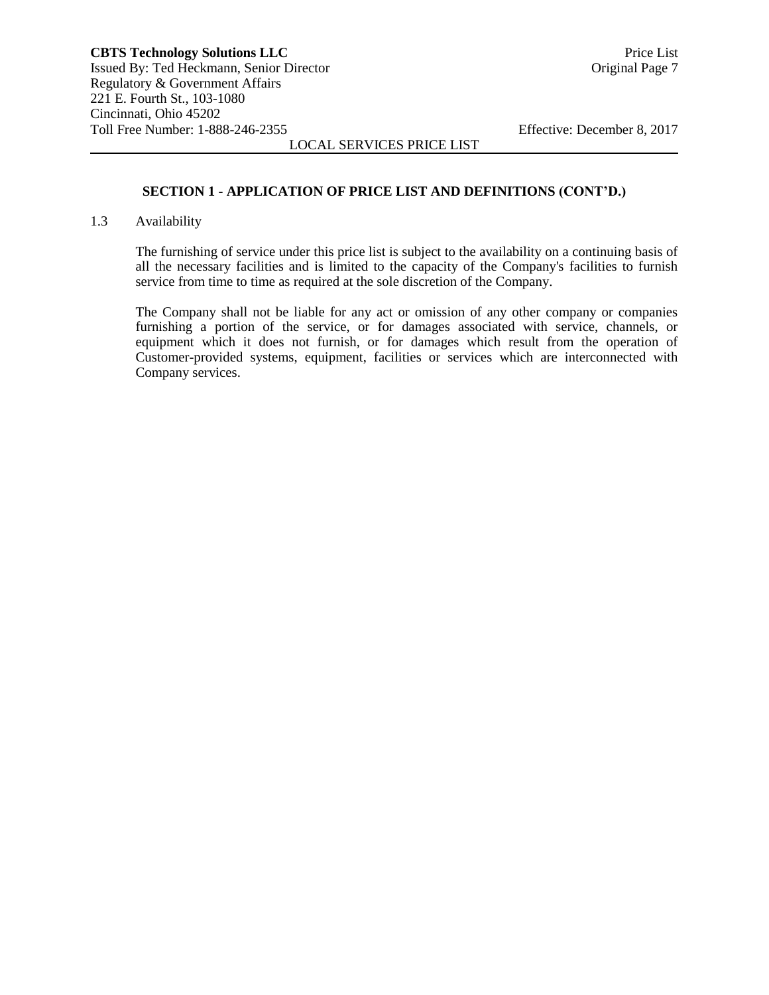## **SECTION 1 - APPLICATION OF PRICE LIST AND DEFINITIONS (CONT'D.)**

#### 1.3 Availability

The furnishing of service under this price list is subject to the availability on a continuing basis of all the necessary facilities and is limited to the capacity of the Company's facilities to furnish service from time to time as required at the sole discretion of the Company.

The Company shall not be liable for any act or omission of any other company or companies furnishing a portion of the service, or for damages associated with service, channels, or equipment which it does not furnish, or for damages which result from the operation of Customer-provided systems, equipment, facilities or services which are interconnected with Company services.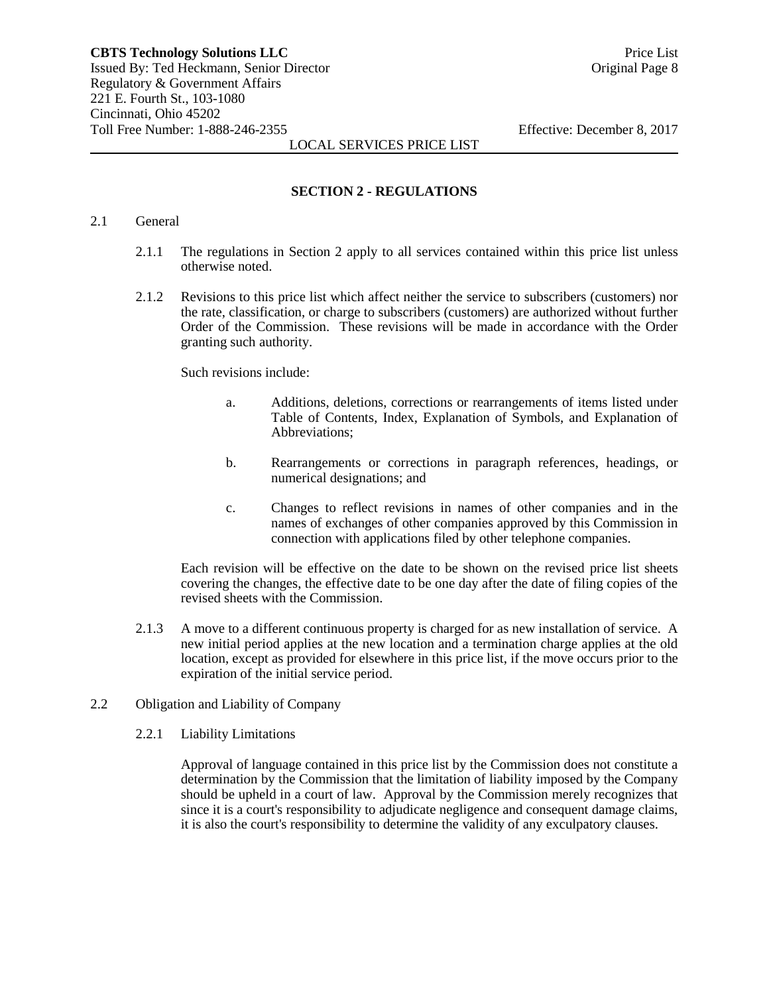#### **SECTION 2 - REGULATIONS**

#### 2.1 General

- 2.1.1 The regulations in Section 2 apply to all services contained within this price list unless otherwise noted.
- 2.1.2 Revisions to this price list which affect neither the service to subscribers (customers) nor the rate, classification, or charge to subscribers (customers) are authorized without further Order of the Commission. These revisions will be made in accordance with the Order granting such authority.

Such revisions include:

- a. Additions, deletions, corrections or rearrangements of items listed under Table of Contents, Index, Explanation of Symbols, and Explanation of Abbreviations;
- b. Rearrangements or corrections in paragraph references, headings, or numerical designations; and
- c. Changes to reflect revisions in names of other companies and in the names of exchanges of other companies approved by this Commission in connection with applications filed by other telephone companies.

Each revision will be effective on the date to be shown on the revised price list sheets covering the changes, the effective date to be one day after the date of filing copies of the revised sheets with the Commission.

2.1.3 A move to a different continuous property is charged for as new installation of service. A new initial period applies at the new location and a termination charge applies at the old location, except as provided for elsewhere in this price list, if the move occurs prior to the expiration of the initial service period.

#### 2.2 Obligation and Liability of Company

2.2.1 Liability Limitations

Approval of language contained in this price list by the Commission does not constitute a determination by the Commission that the limitation of liability imposed by the Company should be upheld in a court of law. Approval by the Commission merely recognizes that since it is a court's responsibility to adjudicate negligence and consequent damage claims, it is also the court's responsibility to determine the validity of any exculpatory clauses.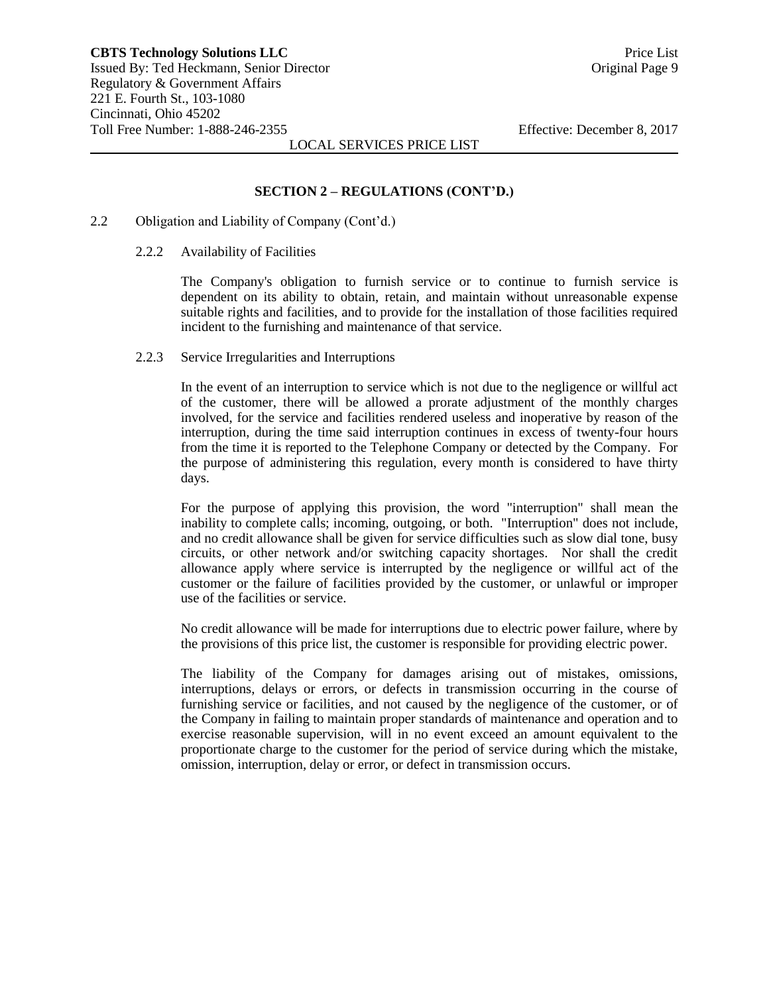## **SECTION 2 – REGULATIONS (CONT'D.)**

- 2.2 Obligation and Liability of Company (Cont'd.)
	- 2.2.2 Availability of Facilities

The Company's obligation to furnish service or to continue to furnish service is dependent on its ability to obtain, retain, and maintain without unreasonable expense suitable rights and facilities, and to provide for the installation of those facilities required incident to the furnishing and maintenance of that service.

2.2.3 Service Irregularities and Interruptions

In the event of an interruption to service which is not due to the negligence or willful act of the customer, there will be allowed a prorate adjustment of the monthly charges involved, for the service and facilities rendered useless and inoperative by reason of the interruption, during the time said interruption continues in excess of twenty-four hours from the time it is reported to the Telephone Company or detected by the Company. For the purpose of administering this regulation, every month is considered to have thirty days.

For the purpose of applying this provision, the word "interruption" shall mean the inability to complete calls; incoming, outgoing, or both. "Interruption" does not include, and no credit allowance shall be given for service difficulties such as slow dial tone, busy circuits, or other network and/or switching capacity shortages. Nor shall the credit allowance apply where service is interrupted by the negligence or willful act of the customer or the failure of facilities provided by the customer, or unlawful or improper use of the facilities or service.

No credit allowance will be made for interruptions due to electric power failure, where by the provisions of this price list, the customer is responsible for providing electric power.

The liability of the Company for damages arising out of mistakes, omissions, interruptions, delays or errors, or defects in transmission occurring in the course of furnishing service or facilities, and not caused by the negligence of the customer, or of the Company in failing to maintain proper standards of maintenance and operation and to exercise reasonable supervision, will in no event exceed an amount equivalent to the proportionate charge to the customer for the period of service during which the mistake, omission, interruption, delay or error, or defect in transmission occurs.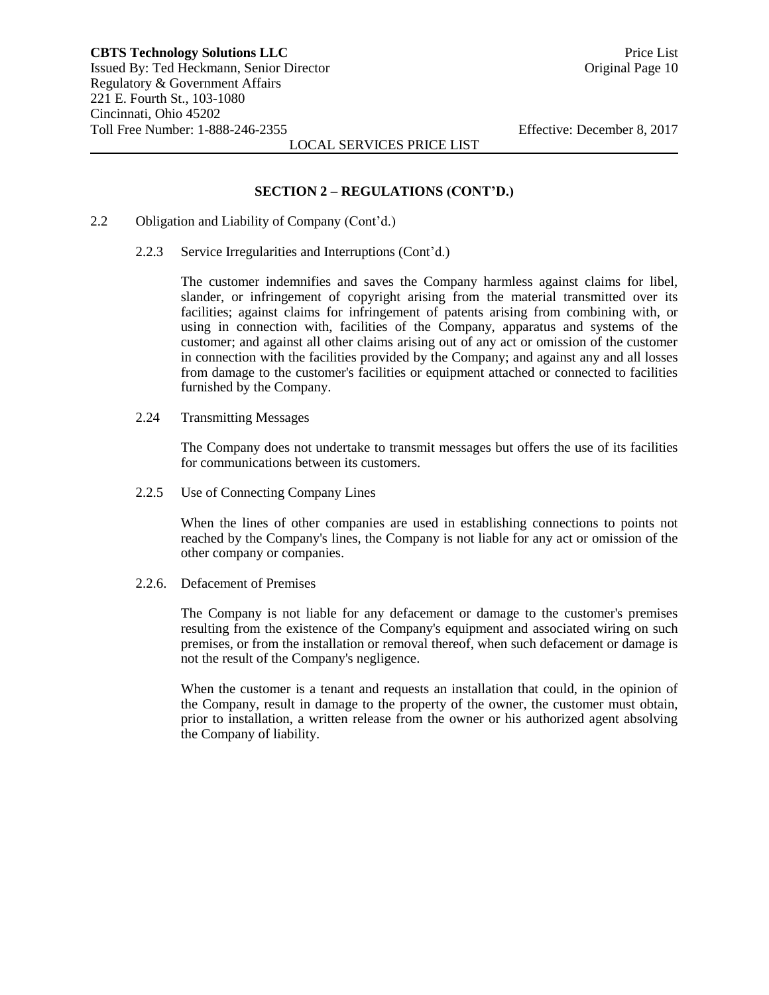#### **SECTION 2 – REGULATIONS (CONT'D.)**

- 2.2 Obligation and Liability of Company (Cont'd.)
	- 2.2.3 Service Irregularities and Interruptions (Cont'd.)

The customer indemnifies and saves the Company harmless against claims for libel, slander, or infringement of copyright arising from the material transmitted over its facilities; against claims for infringement of patents arising from combining with, or using in connection with, facilities of the Company, apparatus and systems of the customer; and against all other claims arising out of any act or omission of the customer in connection with the facilities provided by the Company; and against any and all losses from damage to the customer's facilities or equipment attached or connected to facilities furnished by the Company.

2.24 Transmitting Messages

The Company does not undertake to transmit messages but offers the use of its facilities for communications between its customers.

2.2.5 Use of Connecting Company Lines

When the lines of other companies are used in establishing connections to points not reached by the Company's lines, the Company is not liable for any act or omission of the other company or companies.

2.2.6. Defacement of Premises

The Company is not liable for any defacement or damage to the customer's premises resulting from the existence of the Company's equipment and associated wiring on such premises, or from the installation or removal thereof, when such defacement or damage is not the result of the Company's negligence.

When the customer is a tenant and requests an installation that could, in the opinion of the Company, result in damage to the property of the owner, the customer must obtain, prior to installation, a written release from the owner or his authorized agent absolving the Company of liability.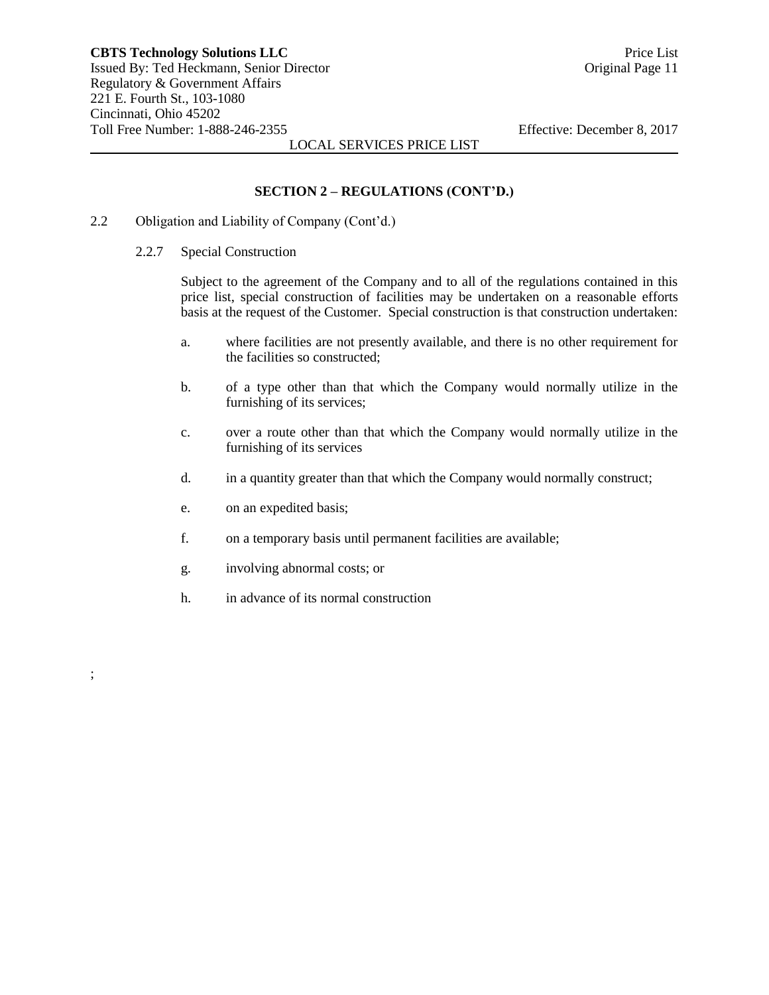#### **SECTION 2 – REGULATIONS (CONT'D.)**

- 2.2 Obligation and Liability of Company (Cont'd.)
	- 2.2.7 Special Construction

Subject to the agreement of the Company and to all of the regulations contained in this price list, special construction of facilities may be undertaken on a reasonable efforts basis at the request of the Customer. Special construction is that construction undertaken:

- a. where facilities are not presently available, and there is no other requirement for the facilities so constructed;
- b. of a type other than that which the Company would normally utilize in the furnishing of its services;
- c. over a route other than that which the Company would normally utilize in the furnishing of its services
- d. in a quantity greater than that which the Company would normally construct;
- e. on an expedited basis;

;

- f. on a temporary basis until permanent facilities are available;
- g. involving abnormal costs; or
- h. in advance of its normal construction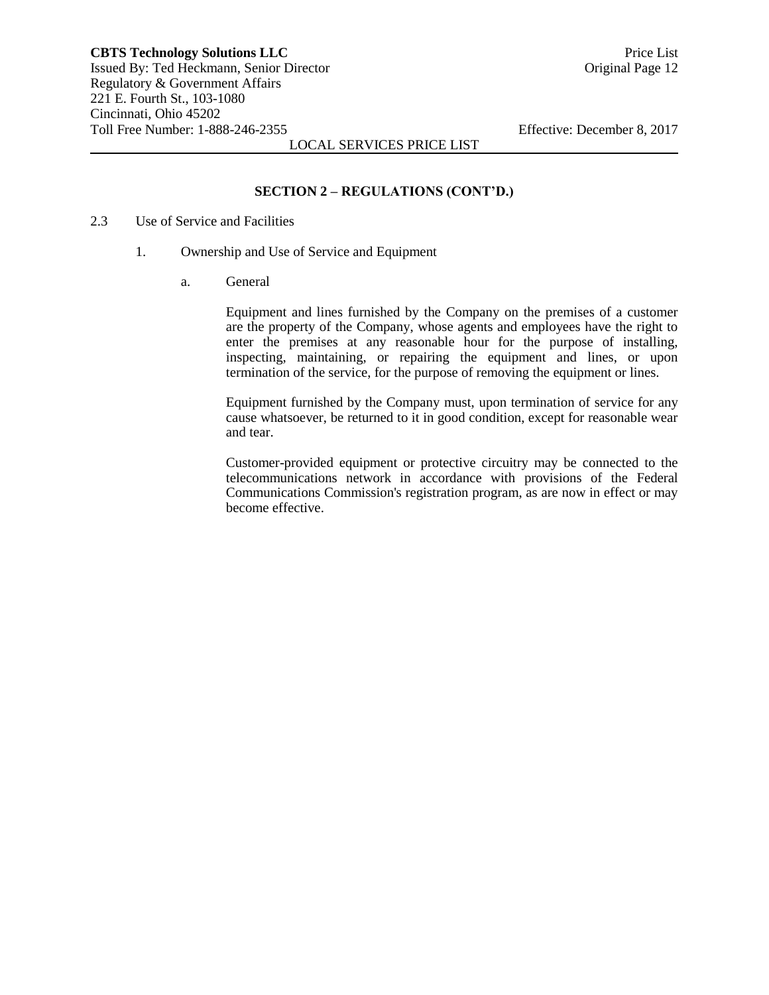# **SECTION 2 – REGULATIONS (CONT'D.)**

- 2.3 Use of Service and Facilities
	- 1. Ownership and Use of Service and Equipment
		- a. General

Equipment and lines furnished by the Company on the premises of a customer are the property of the Company, whose agents and employees have the right to enter the premises at any reasonable hour for the purpose of installing, inspecting, maintaining, or repairing the equipment and lines, or upon termination of the service, for the purpose of removing the equipment or lines.

Equipment furnished by the Company must, upon termination of service for any cause whatsoever, be returned to it in good condition, except for reasonable wear and tear.

Customer-provided equipment or protective circuitry may be connected to the telecommunications network in accordance with provisions of the Federal Communications Commission's registration program, as are now in effect or may become effective.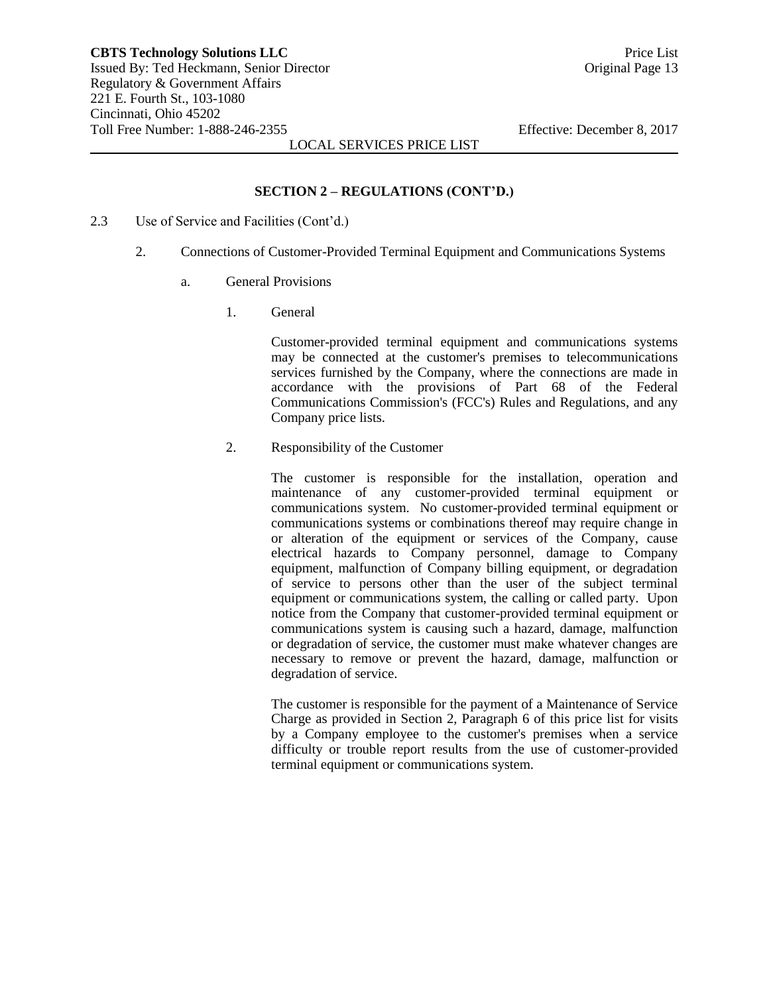#### **SECTION 2 – REGULATIONS (CONT'D.)**

- 2.3 Use of Service and Facilities (Cont'd.)
	- 2. Connections of Customer-Provided Terminal Equipment and Communications Systems
		- a. General Provisions
			- 1. General

Customer-provided terminal equipment and communications systems may be connected at the customer's premises to telecommunications services furnished by the Company, where the connections are made in accordance with the provisions of Part 68 of the Federal Communications Commission's (FCC's) Rules and Regulations, and any Company price lists.

2. Responsibility of the Customer

The customer is responsible for the installation, operation and maintenance of any customer-provided terminal equipment or communications system. No customer-provided terminal equipment or communications systems or combinations thereof may require change in or alteration of the equipment or services of the Company, cause electrical hazards to Company personnel, damage to Company equipment, malfunction of Company billing equipment, or degradation of service to persons other than the user of the subject terminal equipment or communications system, the calling or called party. Upon notice from the Company that customer-provided terminal equipment or communications system is causing such a hazard, damage, malfunction or degradation of service, the customer must make whatever changes are necessary to remove or prevent the hazard, damage, malfunction or degradation of service.

The customer is responsible for the payment of a Maintenance of Service Charge as provided in Section 2, Paragraph 6 of this price list for visits by a Company employee to the customer's premises when a service difficulty or trouble report results from the use of customer-provided terminal equipment or communications system.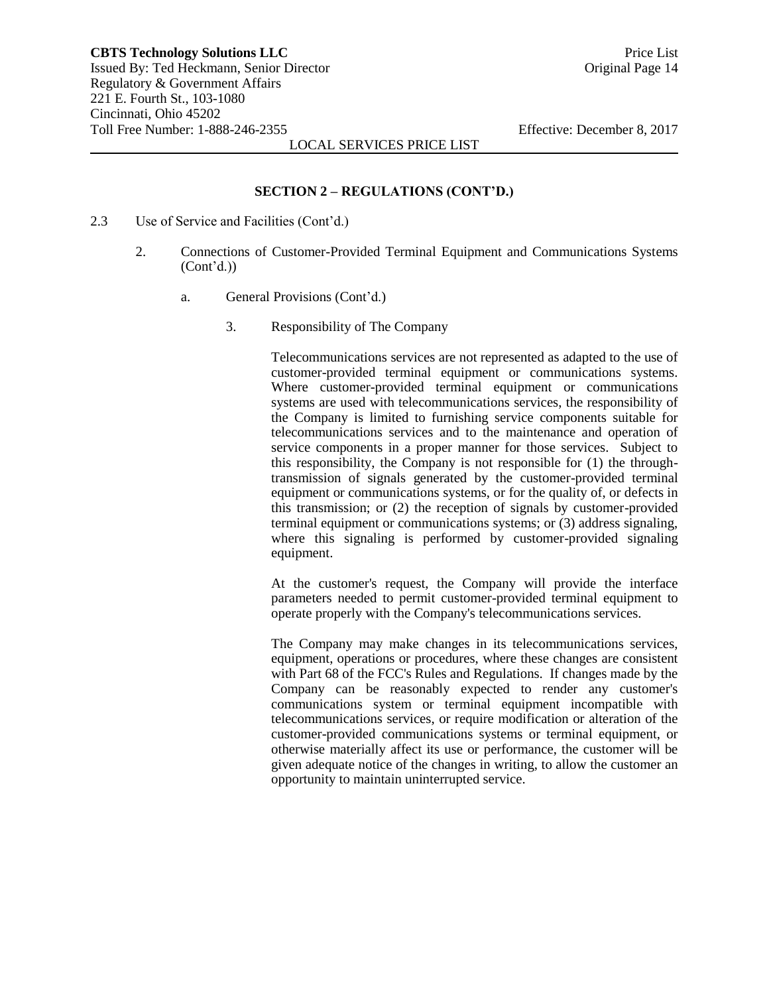## **SECTION 2 – REGULATIONS (CONT'D.)**

- 2.3 Use of Service and Facilities (Cont'd.)
	- 2. Connections of Customer-Provided Terminal Equipment and Communications Systems (Cont'd.))
		- a. General Provisions (Cont'd.)
			- 3. Responsibility of The Company

Telecommunications services are not represented as adapted to the use of customer-provided terminal equipment or communications systems. Where customer-provided terminal equipment or communications systems are used with telecommunications services, the responsibility of the Company is limited to furnishing service components suitable for telecommunications services and to the maintenance and operation of service components in a proper manner for those services. Subject to this responsibility, the Company is not responsible for (1) the throughtransmission of signals generated by the customer-provided terminal equipment or communications systems, or for the quality of, or defects in this transmission; or (2) the reception of signals by customer-provided terminal equipment or communications systems; or (3) address signaling, where this signaling is performed by customer-provided signaling equipment.

At the customer's request, the Company will provide the interface parameters needed to permit customer-provided terminal equipment to operate properly with the Company's telecommunications services.

The Company may make changes in its telecommunications services, equipment, operations or procedures, where these changes are consistent with Part 68 of the FCC's Rules and Regulations. If changes made by the Company can be reasonably expected to render any customer's communications system or terminal equipment incompatible with telecommunications services, or require modification or alteration of the customer-provided communications systems or terminal equipment, or otherwise materially affect its use or performance, the customer will be given adequate notice of the changes in writing, to allow the customer an opportunity to maintain uninterrupted service.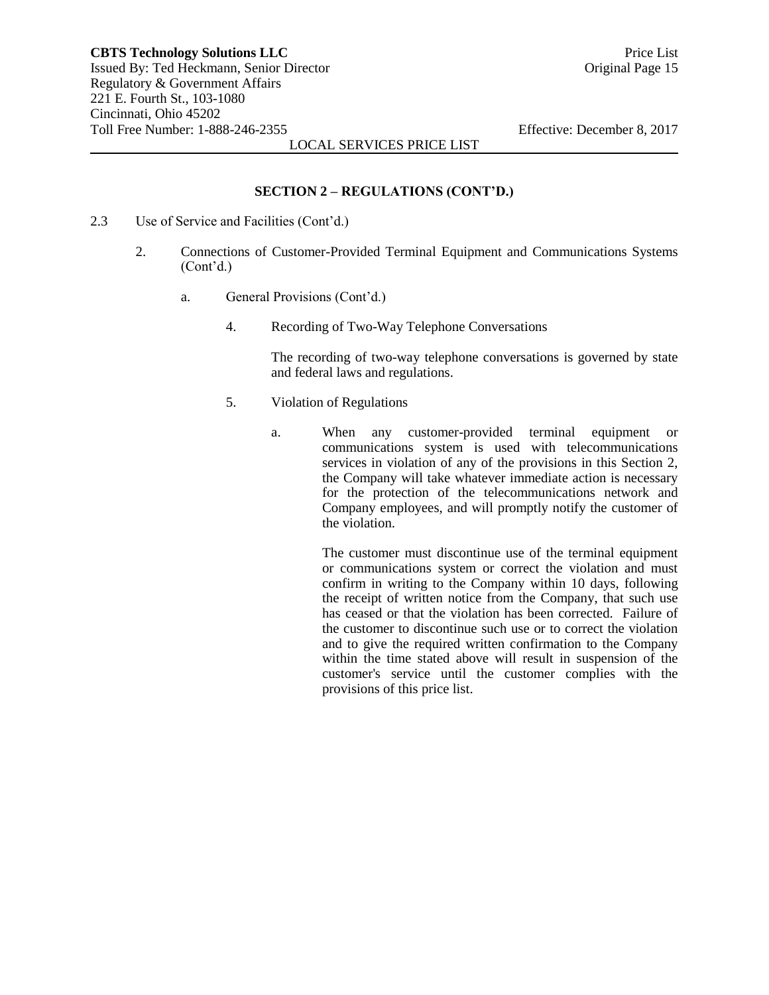# **SECTION 2 – REGULATIONS (CONT'D.)**

- 2.3 Use of Service and Facilities (Cont'd.)
	- 2. Connections of Customer-Provided Terminal Equipment and Communications Systems (Cont'd.)
		- a. General Provisions (Cont'd.)
			- 4. Recording of Two-Way Telephone Conversations

The recording of two-way telephone conversations is governed by state and federal laws and regulations.

- 5. Violation of Regulations
	- a. When any customer-provided terminal equipment or communications system is used with telecommunications services in violation of any of the provisions in this Section 2, the Company will take whatever immediate action is necessary for the protection of the telecommunications network and Company employees, and will promptly notify the customer of the violation.

The customer must discontinue use of the terminal equipment or communications system or correct the violation and must confirm in writing to the Company within 10 days, following the receipt of written notice from the Company, that such use has ceased or that the violation has been corrected. Failure of the customer to discontinue such use or to correct the violation and to give the required written confirmation to the Company within the time stated above will result in suspension of the customer's service until the customer complies with the provisions of this price list.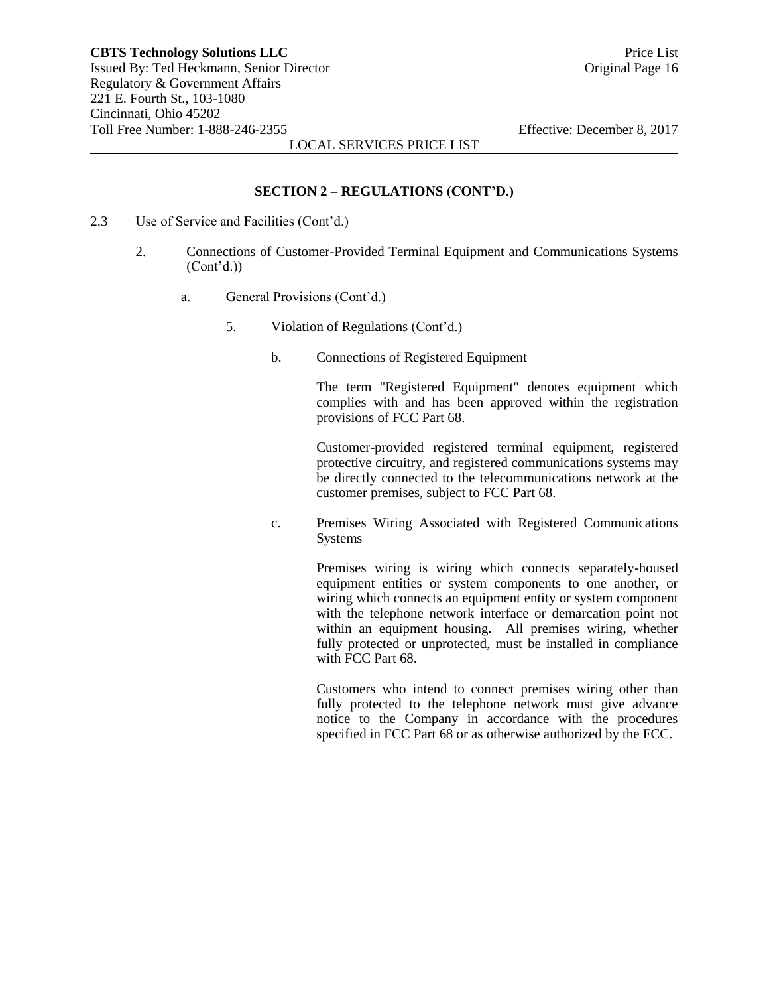# **SECTION 2 – REGULATIONS (CONT'D.)**

- 2.3 Use of Service and Facilities (Cont'd.)
	- 2. Connections of Customer-Provided Terminal Equipment and Communications Systems  $(Cont<sup>2</sup>d.)$ 
		- a. General Provisions (Cont'd.)
			- 5. Violation of Regulations (Cont'd.)
				- b. Connections of Registered Equipment

The term "Registered Equipment" denotes equipment which complies with and has been approved within the registration provisions of FCC Part 68.

Customer-provided registered terminal equipment, registered protective circuitry, and registered communications systems may be directly connected to the telecommunications network at the customer premises, subject to FCC Part 68.

c. Premises Wiring Associated with Registered Communications Systems

> Premises wiring is wiring which connects separately-housed equipment entities or system components to one another, or wiring which connects an equipment entity or system component with the telephone network interface or demarcation point not within an equipment housing. All premises wiring, whether fully protected or unprotected, must be installed in compliance with FCC Part 68.

> Customers who intend to connect premises wiring other than fully protected to the telephone network must give advance notice to the Company in accordance with the procedures specified in FCC Part 68 or as otherwise authorized by the FCC.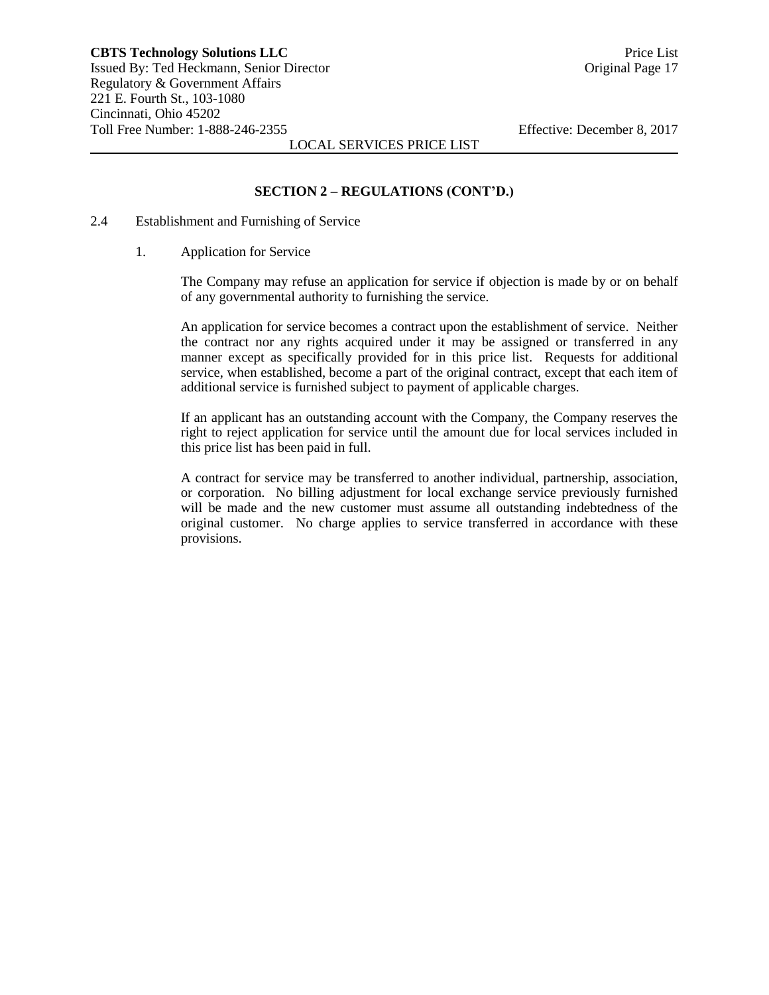# **SECTION 2 – REGULATIONS (CONT'D.)**

- 2.4 Establishment and Furnishing of Service
	- 1. Application for Service

The Company may refuse an application for service if objection is made by or on behalf of any governmental authority to furnishing the service.

An application for service becomes a contract upon the establishment of service. Neither the contract nor any rights acquired under it may be assigned or transferred in any manner except as specifically provided for in this price list. Requests for additional service, when established, become a part of the original contract, except that each item of additional service is furnished subject to payment of applicable charges.

If an applicant has an outstanding account with the Company, the Company reserves the right to reject application for service until the amount due for local services included in this price list has been paid in full.

A contract for service may be transferred to another individual, partnership, association, or corporation. No billing adjustment for local exchange service previously furnished will be made and the new customer must assume all outstanding indebtedness of the original customer. No charge applies to service transferred in accordance with these provisions.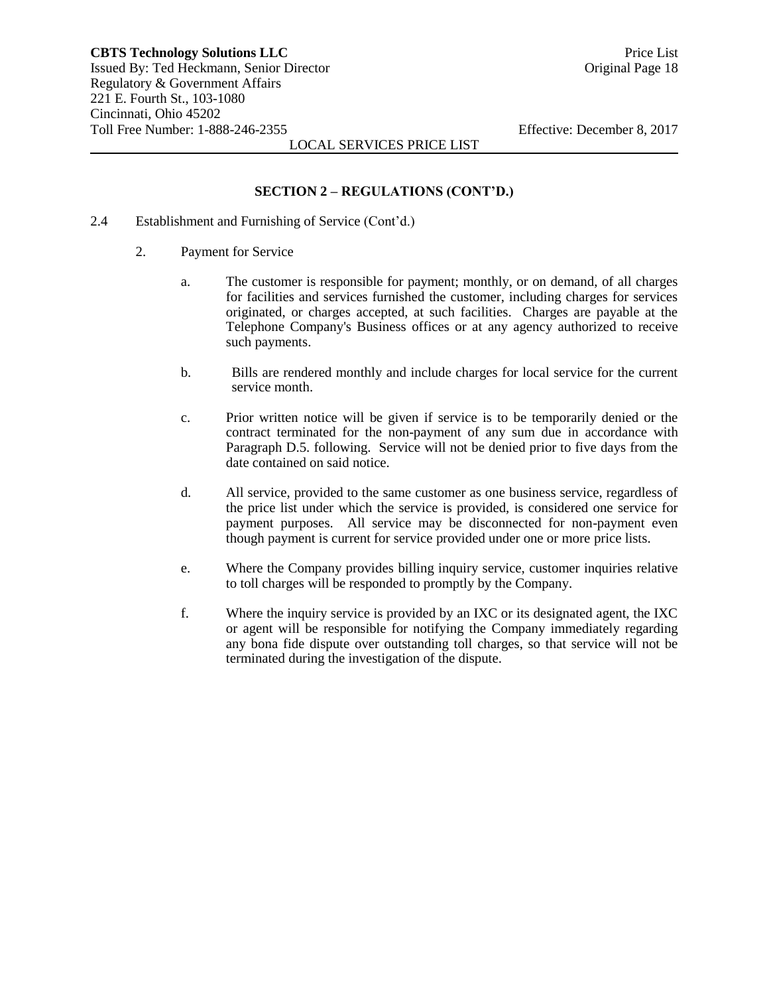## **SECTION 2 – REGULATIONS (CONT'D.)**

- 2.4 Establishment and Furnishing of Service (Cont'd.)
	- 2. Payment for Service
		- a. The customer is responsible for payment; monthly, or on demand, of all charges for facilities and services furnished the customer, including charges for services originated, or charges accepted, at such facilities. Charges are payable at the Telephone Company's Business offices or at any agency authorized to receive such payments.
		- b. Bills are rendered monthly and include charges for local service for the current service month.
		- c. Prior written notice will be given if service is to be temporarily denied or the contract terminated for the non-payment of any sum due in accordance with Paragraph D.5. following. Service will not be denied prior to five days from the date contained on said notice.
		- d. All service, provided to the same customer as one business service, regardless of the price list under which the service is provided, is considered one service for payment purposes. All service may be disconnected for non-payment even though payment is current for service provided under one or more price lists.
		- e. Where the Company provides billing inquiry service, customer inquiries relative to toll charges will be responded to promptly by the Company.
		- f. Where the inquiry service is provided by an IXC or its designated agent, the IXC or agent will be responsible for notifying the Company immediately regarding any bona fide dispute over outstanding toll charges, so that service will not be terminated during the investigation of the dispute.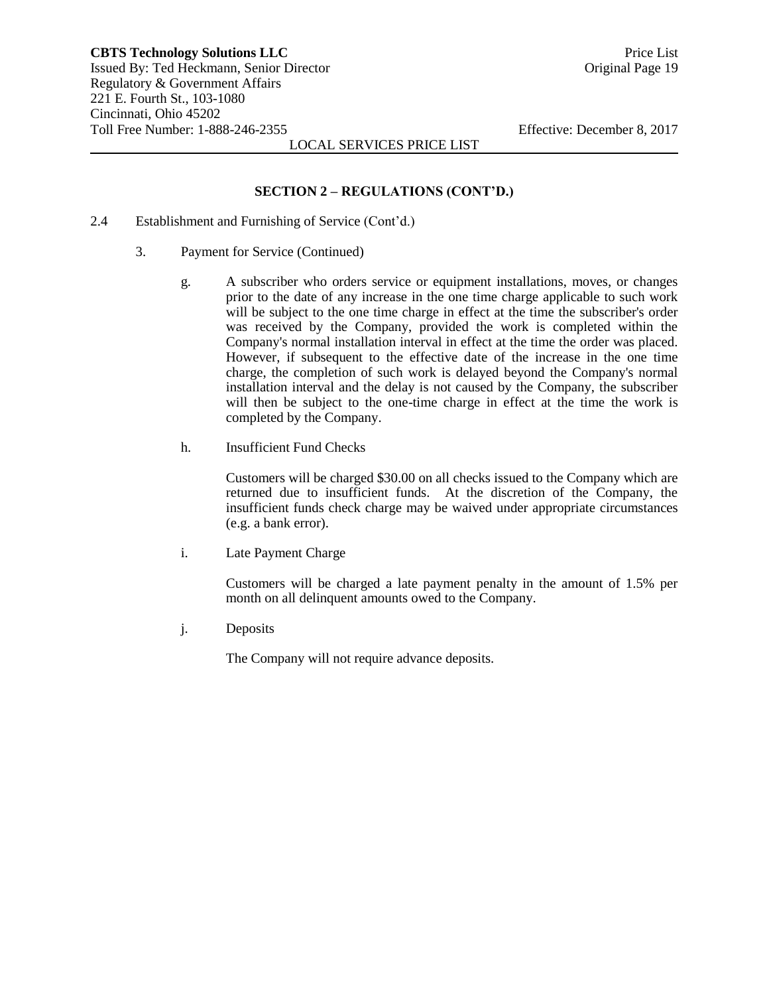#### **SECTION 2 – REGULATIONS (CONT'D.)**

- 2.4 Establishment and Furnishing of Service (Cont'd.)
	- 3. Payment for Service (Continued)
		- g. A subscriber who orders service or equipment installations, moves, or changes prior to the date of any increase in the one time charge applicable to such work will be subject to the one time charge in effect at the time the subscriber's order was received by the Company, provided the work is completed within the Company's normal installation interval in effect at the time the order was placed. However, if subsequent to the effective date of the increase in the one time charge, the completion of such work is delayed beyond the Company's normal installation interval and the delay is not caused by the Company, the subscriber will then be subject to the one-time charge in effect at the time the work is completed by the Company.
		- h. Insufficient Fund Checks

Customers will be charged \$30.00 on all checks issued to the Company which are returned due to insufficient funds. At the discretion of the Company, the insufficient funds check charge may be waived under appropriate circumstances (e.g. a bank error).

i. Late Payment Charge

Customers will be charged a late payment penalty in the amount of 1.5% per month on all delinquent amounts owed to the Company.

j. Deposits

The Company will not require advance deposits.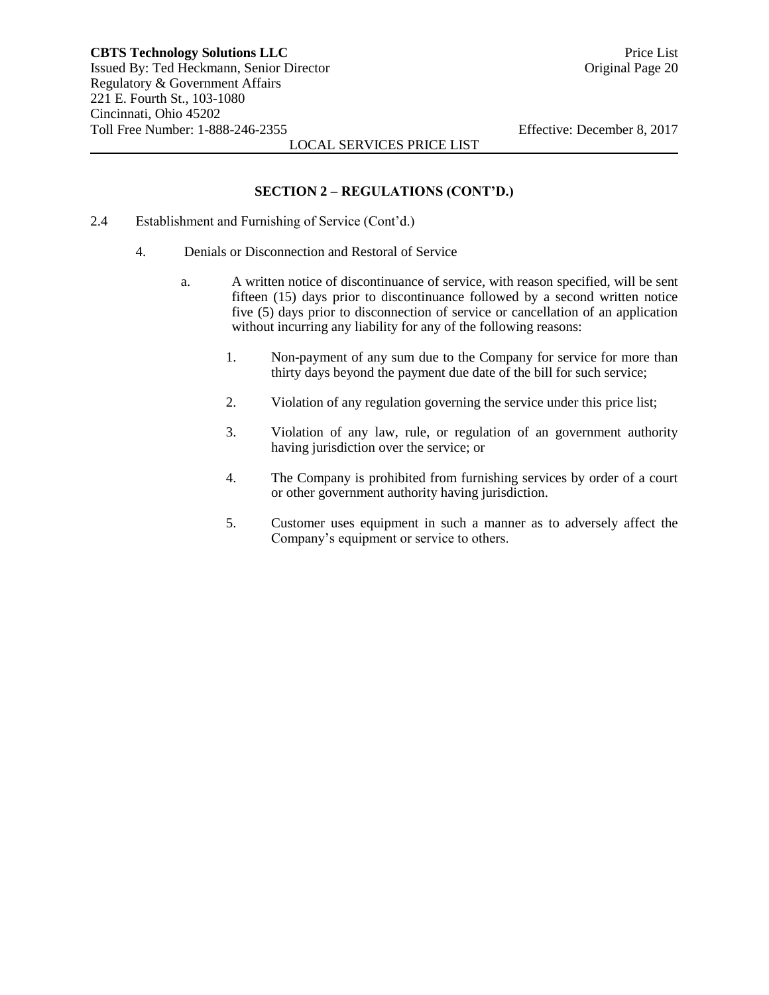#### **SECTION 2 – REGULATIONS (CONT'D.)**

- 2.4 Establishment and Furnishing of Service (Cont'd.)
	- 4. Denials or Disconnection and Restoral of Service
		- a. A written notice of discontinuance of service, with reason specified, will be sent fifteen (15) days prior to discontinuance followed by a second written notice five (5) days prior to disconnection of service or cancellation of an application without incurring any liability for any of the following reasons:
			- 1. Non-payment of any sum due to the Company for service for more than thirty days beyond the payment due date of the bill for such service;
			- 2. Violation of any regulation governing the service under this price list;
			- 3. Violation of any law, rule, or regulation of an government authority having jurisdiction over the service; or
			- 4. The Company is prohibited from furnishing services by order of a court or other government authority having jurisdiction.
			- 5. Customer uses equipment in such a manner as to adversely affect the Company's equipment or service to others.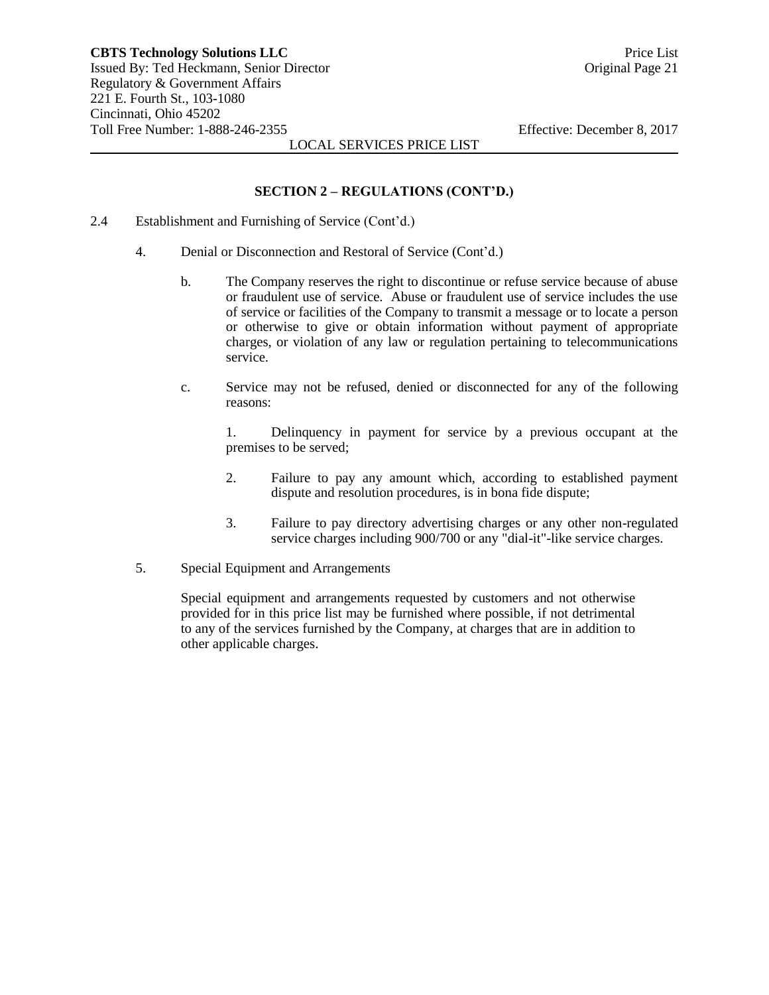#### **SECTION 2 – REGULATIONS (CONT'D.)**

- 2.4 Establishment and Furnishing of Service (Cont'd.)
	- 4. Denial or Disconnection and Restoral of Service (Cont'd.)
		- b. The Company reserves the right to discontinue or refuse service because of abuse or fraudulent use of service. Abuse or fraudulent use of service includes the use of service or facilities of the Company to transmit a message or to locate a person or otherwise to give or obtain information without payment of appropriate charges, or violation of any law or regulation pertaining to telecommunications service.
		- c. Service may not be refused, denied or disconnected for any of the following reasons:

1. Delinquency in payment for service by a previous occupant at the premises to be served;

- 2. Failure to pay any amount which, according to established payment dispute and resolution procedures, is in bona fide dispute;
- 3. Failure to pay directory advertising charges or any other non-regulated service charges including 900/700 or any "dial-it"-like service charges.
- 5. Special Equipment and Arrangements

Special equipment and arrangements requested by customers and not otherwise provided for in this price list may be furnished where possible, if not detrimental to any of the services furnished by the Company, at charges that are in addition to other applicable charges.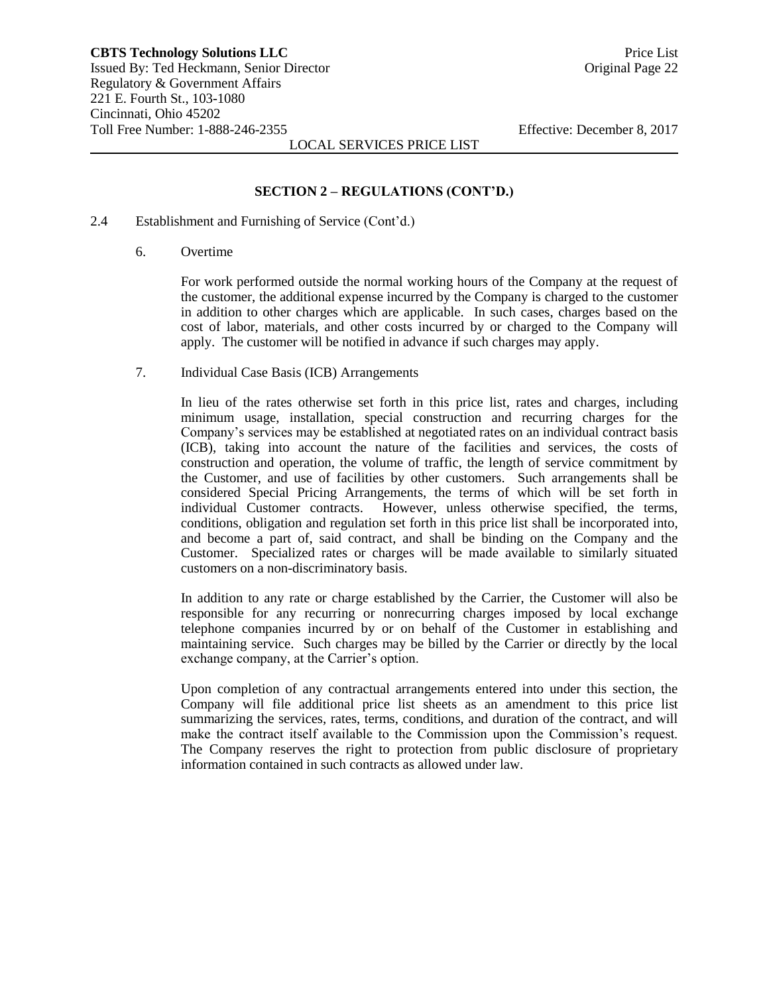#### **SECTION 2 – REGULATIONS (CONT'D.)**

#### 2.4 Establishment and Furnishing of Service (Cont'd.)

6. Overtime

For work performed outside the normal working hours of the Company at the request of the customer, the additional expense incurred by the Company is charged to the customer in addition to other charges which are applicable. In such cases, charges based on the cost of labor, materials, and other costs incurred by or charged to the Company will apply. The customer will be notified in advance if such charges may apply.

7. Individual Case Basis (ICB) Arrangements

In lieu of the rates otherwise set forth in this price list, rates and charges, including minimum usage, installation, special construction and recurring charges for the Company's services may be established at negotiated rates on an individual contract basis (ICB), taking into account the nature of the facilities and services, the costs of construction and operation, the volume of traffic, the length of service commitment by the Customer, and use of facilities by other customers. Such arrangements shall be considered Special Pricing Arrangements, the terms of which will be set forth in individual Customer contracts. However, unless otherwise specified, the terms, conditions, obligation and regulation set forth in this price list shall be incorporated into, and become a part of, said contract, and shall be binding on the Company and the Customer. Specialized rates or charges will be made available to similarly situated customers on a non-discriminatory basis.

In addition to any rate or charge established by the Carrier, the Customer will also be responsible for any recurring or nonrecurring charges imposed by local exchange telephone companies incurred by or on behalf of the Customer in establishing and maintaining service. Such charges may be billed by the Carrier or directly by the local exchange company, at the Carrier's option.

Upon completion of any contractual arrangements entered into under this section, the Company will file additional price list sheets as an amendment to this price list summarizing the services, rates, terms, conditions, and duration of the contract, and will make the contract itself available to the Commission upon the Commission's request. The Company reserves the right to protection from public disclosure of proprietary information contained in such contracts as allowed under law.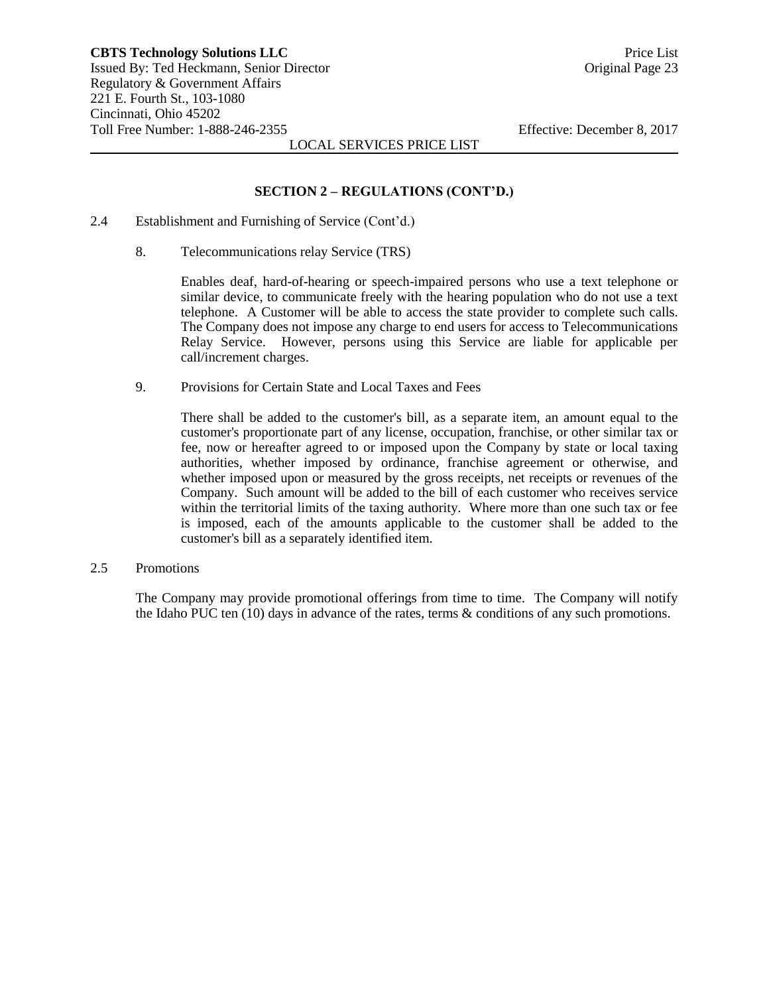#### **SECTION 2 – REGULATIONS (CONT'D.)**

- 2.4 Establishment and Furnishing of Service (Cont'd.)
	- 8. Telecommunications relay Service (TRS)

Enables deaf, hard-of-hearing or speech-impaired persons who use a text telephone or similar device, to communicate freely with the hearing population who do not use a text telephone. A Customer will be able to access the state provider to complete such calls. The Company does not impose any charge to end users for access to Telecommunications Relay Service. However, persons using this Service are liable for applicable per call/increment charges.

9. Provisions for Certain State and Local Taxes and Fees

There shall be added to the customer's bill, as a separate item, an amount equal to the customer's proportionate part of any license, occupation, franchise, or other similar tax or fee, now or hereafter agreed to or imposed upon the Company by state or local taxing authorities, whether imposed by ordinance, franchise agreement or otherwise, and whether imposed upon or measured by the gross receipts, net receipts or revenues of the Company. Such amount will be added to the bill of each customer who receives service within the territorial limits of the taxing authority. Where more than one such tax or fee is imposed, each of the amounts applicable to the customer shall be added to the customer's bill as a separately identified item.

2.5 Promotions

The Company may provide promotional offerings from time to time. The Company will notify the Idaho PUC ten (10) days in advance of the rates, terms & conditions of any such promotions.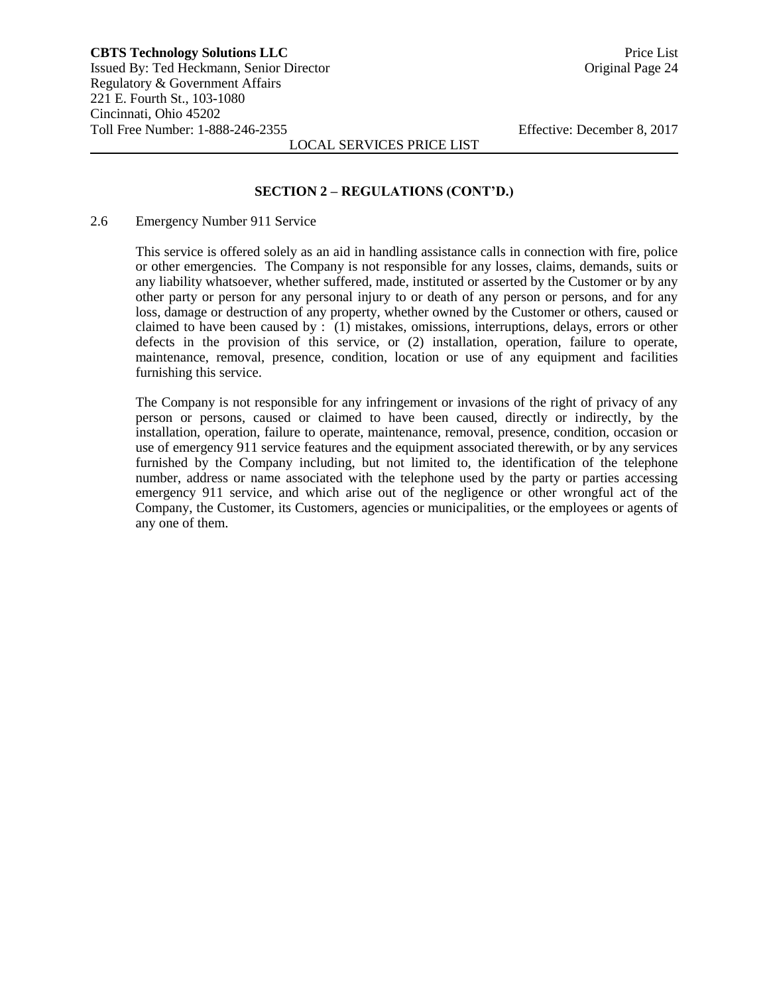#### **SECTION 2 – REGULATIONS (CONT'D.)**

2.6 Emergency Number 911 Service

This service is offered solely as an aid in handling assistance calls in connection with fire, police or other emergencies. The Company is not responsible for any losses, claims, demands, suits or any liability whatsoever, whether suffered, made, instituted or asserted by the Customer or by any other party or person for any personal injury to or death of any person or persons, and for any loss, damage or destruction of any property, whether owned by the Customer or others, caused or claimed to have been caused by : (1) mistakes, omissions, interruptions, delays, errors or other defects in the provision of this service, or (2) installation, operation, failure to operate, maintenance, removal, presence, condition, location or use of any equipment and facilities furnishing this service.

The Company is not responsible for any infringement or invasions of the right of privacy of any person or persons, caused or claimed to have been caused, directly or indirectly, by the installation, operation, failure to operate, maintenance, removal, presence, condition, occasion or use of emergency 911 service features and the equipment associated therewith, or by any services furnished by the Company including, but not limited to, the identification of the telephone number, address or name associated with the telephone used by the party or parties accessing emergency 911 service, and which arise out of the negligence or other wrongful act of the Company, the Customer, its Customers, agencies or municipalities, or the employees or agents of any one of them.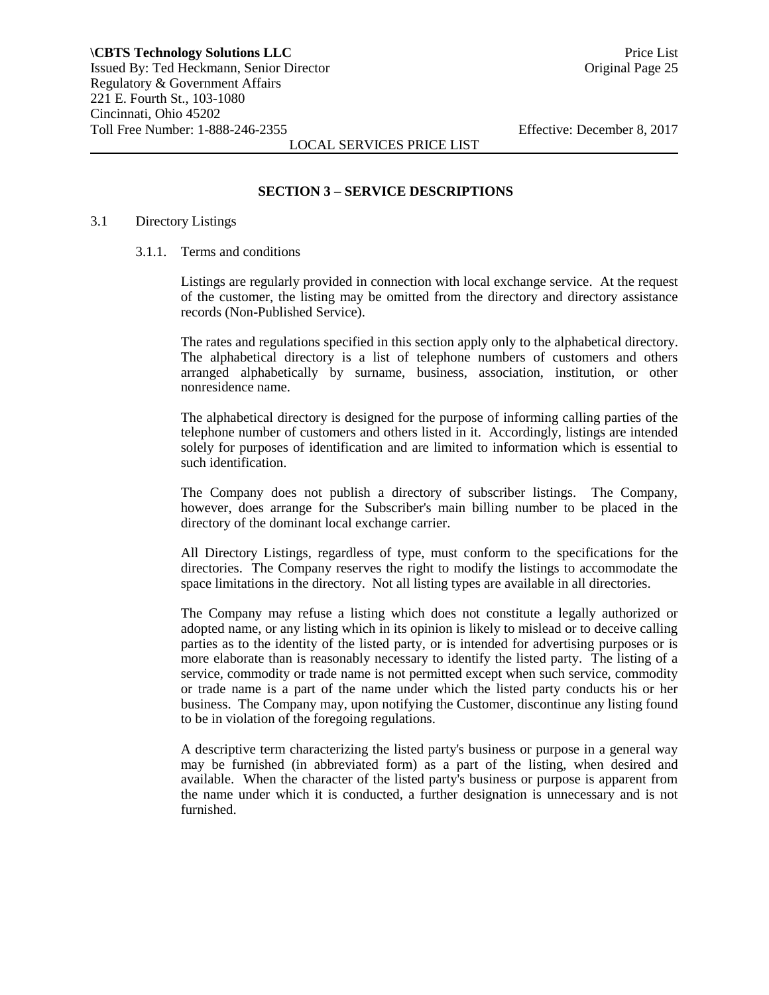#### **SECTION 3 – SERVICE DESCRIPTIONS**

#### 3.1 Directory Listings

#### 3.1.1. Terms and conditions

Listings are regularly provided in connection with local exchange service. At the request of the customer, the listing may be omitted from the directory and directory assistance records (Non-Published Service).

The rates and regulations specified in this section apply only to the alphabetical directory. The alphabetical directory is a list of telephone numbers of customers and others arranged alphabetically by surname, business, association, institution, or other nonresidence name.

The alphabetical directory is designed for the purpose of informing calling parties of the telephone number of customers and others listed in it. Accordingly, listings are intended solely for purposes of identification and are limited to information which is essential to such identification.

The Company does not publish a directory of subscriber listings. The Company, however, does arrange for the Subscriber's main billing number to be placed in the directory of the dominant local exchange carrier.

All Directory Listings, regardless of type, must conform to the specifications for the directories. The Company reserves the right to modify the listings to accommodate the space limitations in the directory. Not all listing types are available in all directories.

The Company may refuse a listing which does not constitute a legally authorized or adopted name, or any listing which in its opinion is likely to mislead or to deceive calling parties as to the identity of the listed party, or is intended for advertising purposes or is more elaborate than is reasonably necessary to identify the listed party. The listing of a service, commodity or trade name is not permitted except when such service, commodity or trade name is a part of the name under which the listed party conducts his or her business. The Company may, upon notifying the Customer, discontinue any listing found to be in violation of the foregoing regulations.

A descriptive term characterizing the listed party's business or purpose in a general way may be furnished (in abbreviated form) as a part of the listing, when desired and available. When the character of the listed party's business or purpose is apparent from the name under which it is conducted, a further designation is unnecessary and is not furnished.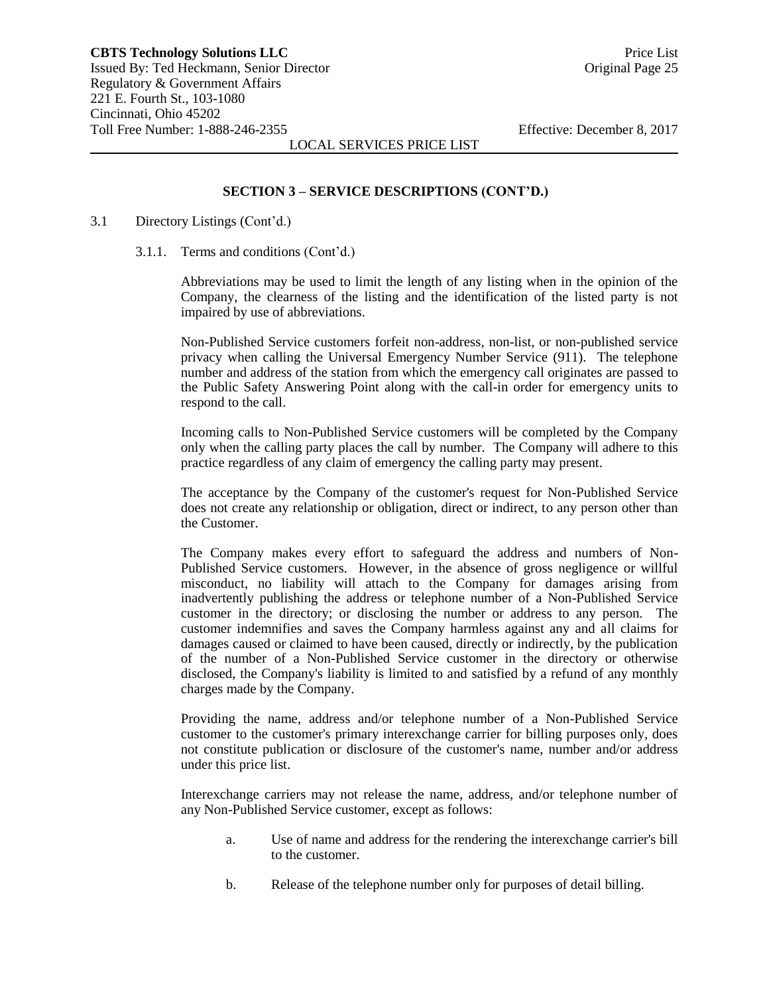#### **SECTION 3 – SERVICE DESCRIPTIONS (CONT'D.)**

#### 3.1 Directory Listings (Cont'd.)

3.1.1. Terms and conditions (Cont'd.)

Abbreviations may be used to limit the length of any listing when in the opinion of the Company, the clearness of the listing and the identification of the listed party is not impaired by use of abbreviations.

Non-Published Service customers forfeit non-address, non-list, or non-published service privacy when calling the Universal Emergency Number Service (911). The telephone number and address of the station from which the emergency call originates are passed to the Public Safety Answering Point along with the call-in order for emergency units to respond to the call.

Incoming calls to Non-Published Service customers will be completed by the Company only when the calling party places the call by number. The Company will adhere to this practice regardless of any claim of emergency the calling party may present.

The acceptance by the Company of the customer's request for Non-Published Service does not create any relationship or obligation, direct or indirect, to any person other than the Customer.

The Company makes every effort to safeguard the address and numbers of Non-Published Service customers. However, in the absence of gross negligence or willful misconduct, no liability will attach to the Company for damages arising from inadvertently publishing the address or telephone number of a Non-Published Service customer in the directory; or disclosing the number or address to any person. The customer indemnifies and saves the Company harmless against any and all claims for damages caused or claimed to have been caused, directly or indirectly, by the publication of the number of a Non-Published Service customer in the directory or otherwise disclosed, the Company's liability is limited to and satisfied by a refund of any monthly charges made by the Company.

Providing the name, address and/or telephone number of a Non-Published Service customer to the customer's primary interexchange carrier for billing purposes only, does not constitute publication or disclosure of the customer's name, number and/or address under this price list.

Interexchange carriers may not release the name, address, and/or telephone number of any Non-Published Service customer, except as follows:

- a. Use of name and address for the rendering the interexchange carrier's bill to the customer.
- b. Release of the telephone number only for purposes of detail billing.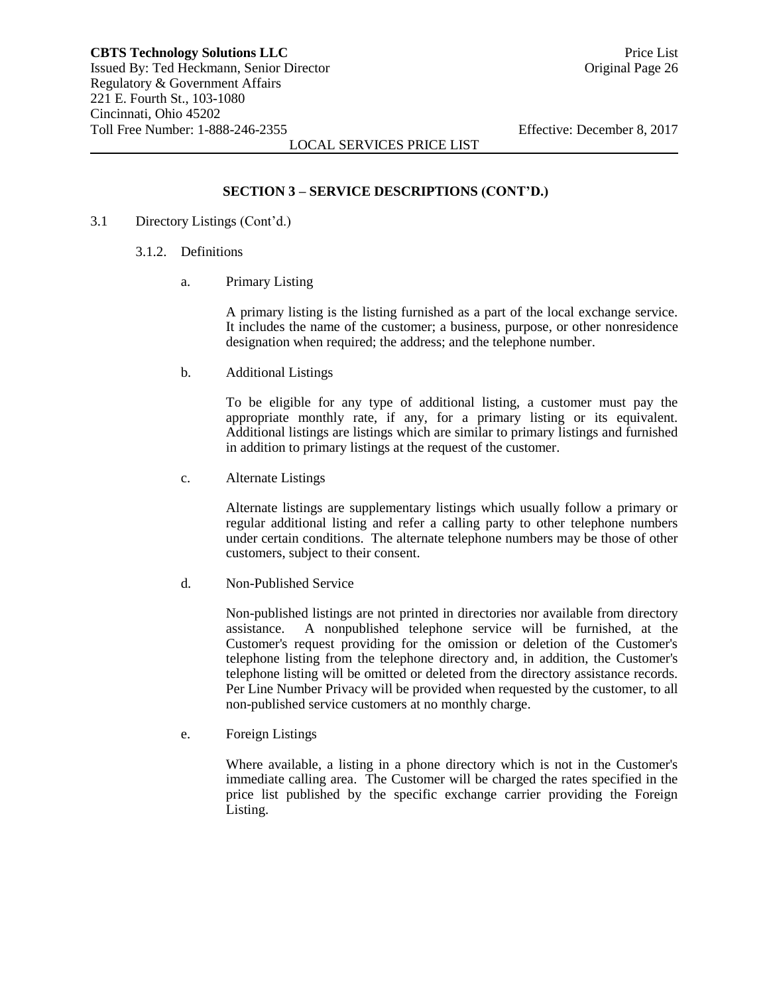## **SECTION 3 – SERVICE DESCRIPTIONS (CONT'D.)**

- 3.1 Directory Listings (Cont'd.)
	- 3.1.2. Definitions
		- a. Primary Listing

A primary listing is the listing furnished as a part of the local exchange service. It includes the name of the customer; a business, purpose, or other nonresidence designation when required; the address; and the telephone number.

b. Additional Listings

To be eligible for any type of additional listing, a customer must pay the appropriate monthly rate, if any, for a primary listing or its equivalent. Additional listings are listings which are similar to primary listings and furnished in addition to primary listings at the request of the customer.

c. Alternate Listings

Alternate listings are supplementary listings which usually follow a primary or regular additional listing and refer a calling party to other telephone numbers under certain conditions. The alternate telephone numbers may be those of other customers, subject to their consent.

d. Non-Published Service

Non-published listings are not printed in directories nor available from directory assistance. A nonpublished telephone service will be furnished, at the Customer's request providing for the omission or deletion of the Customer's telephone listing from the telephone directory and, in addition, the Customer's telephone listing will be omitted or deleted from the directory assistance records. Per Line Number Privacy will be provided when requested by the customer, to all non-published service customers at no monthly charge.

e. Foreign Listings

Where available, a listing in a phone directory which is not in the Customer's immediate calling area. The Customer will be charged the rates specified in the price list published by the specific exchange carrier providing the Foreign Listing.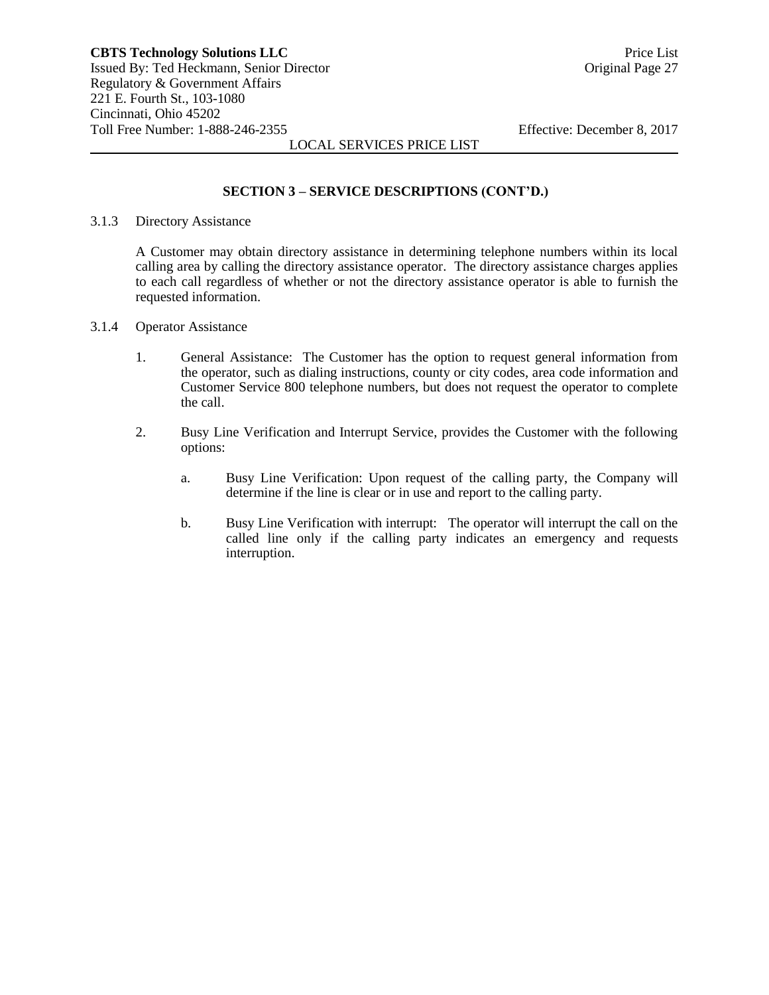#### **SECTION 3 – SERVICE DESCRIPTIONS (CONT'D.)**

#### 3.1.3 Directory Assistance

A Customer may obtain directory assistance in determining telephone numbers within its local calling area by calling the directory assistance operator. The directory assistance charges applies to each call regardless of whether or not the directory assistance operator is able to furnish the requested information.

- 3.1.4 Operator Assistance
	- 1. General Assistance: The Customer has the option to request general information from the operator, such as dialing instructions, county or city codes, area code information and Customer Service 800 telephone numbers, but does not request the operator to complete the call.
	- 2. Busy Line Verification and Interrupt Service, provides the Customer with the following options:
		- a. Busy Line Verification: Upon request of the calling party, the Company will determine if the line is clear or in use and report to the calling party.
		- b. Busy Line Verification with interrupt: The operator will interrupt the call on the called line only if the calling party indicates an emergency and requests interruption.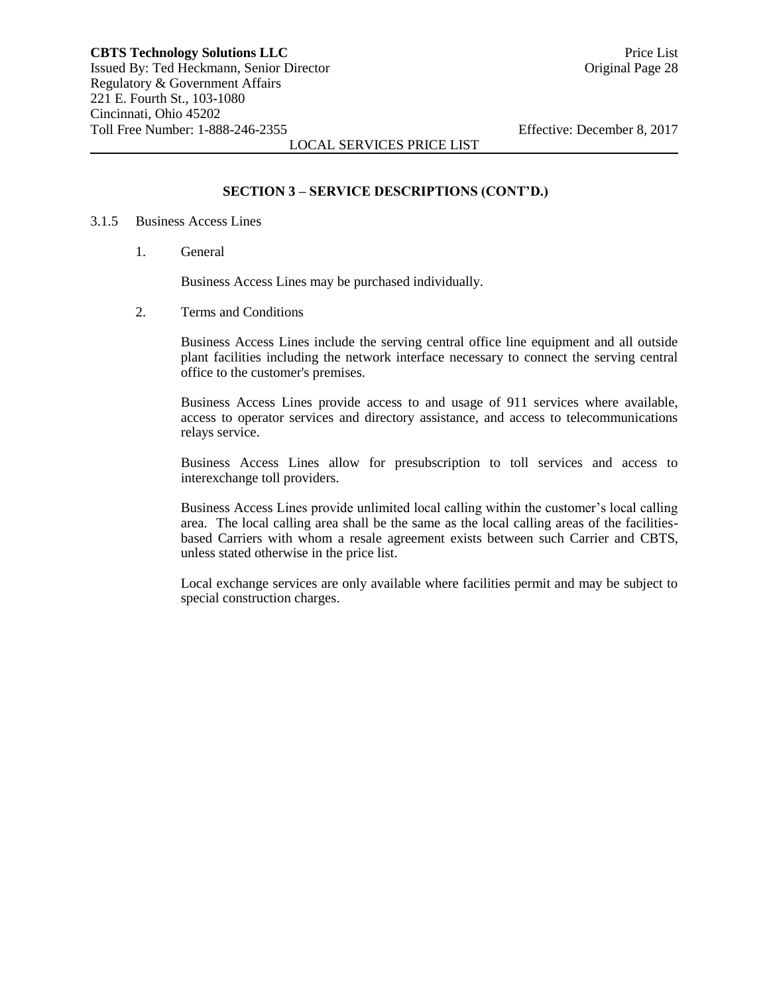#### **SECTION 3 – SERVICE DESCRIPTIONS (CONT'D.)**

#### 3.1.5 Business Access Lines

1. General

Business Access Lines may be purchased individually.

2. Terms and Conditions

Business Access Lines include the serving central office line equipment and all outside plant facilities including the network interface necessary to connect the serving central office to the customer's premises.

Business Access Lines provide access to and usage of 911 services where available, access to operator services and directory assistance, and access to telecommunications relays service.

Business Access Lines allow for presubscription to toll services and access to interexchange toll providers.

Business Access Lines provide unlimited local calling within the customer's local calling area. The local calling area shall be the same as the local calling areas of the facilitiesbased Carriers with whom a resale agreement exists between such Carrier and CBTS, unless stated otherwise in the price list.

Local exchange services are only available where facilities permit and may be subject to special construction charges.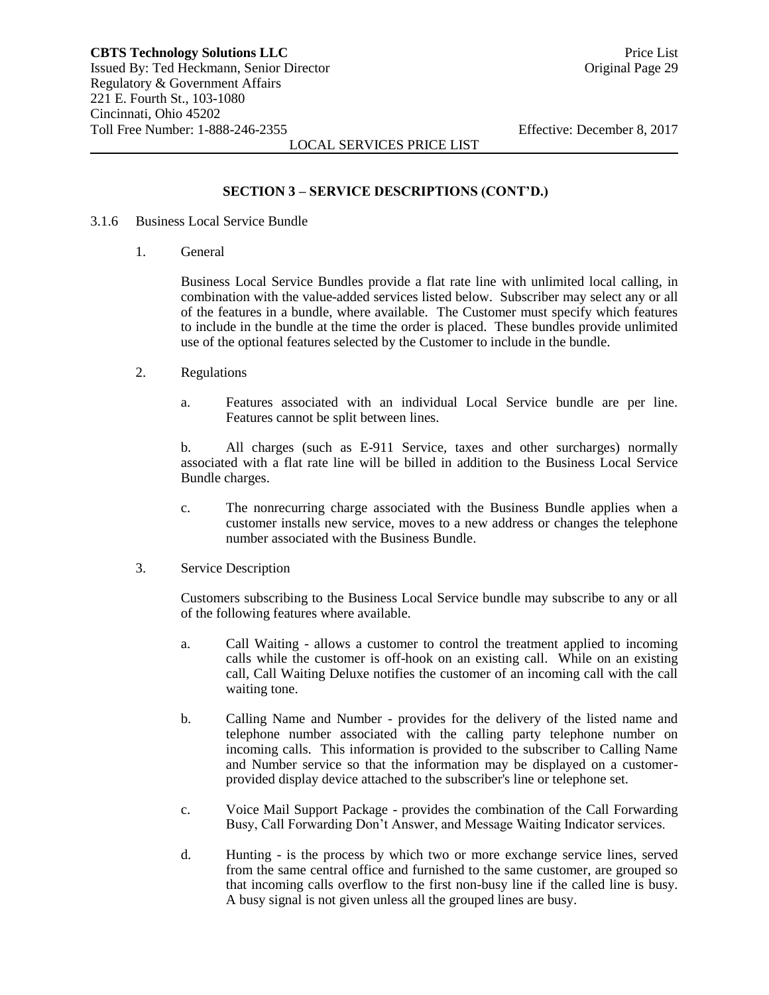#### **SECTION 3 – SERVICE DESCRIPTIONS (CONT'D.)**

- 3.1.6 Business Local Service Bundle
	- 1. General

Business Local Service Bundles provide a flat rate line with unlimited local calling, in combination with the value-added services listed below. Subscriber may select any or all of the features in a bundle, where available. The Customer must specify which features to include in the bundle at the time the order is placed. These bundles provide unlimited use of the optional features selected by the Customer to include in the bundle.

- 2. Regulations
	- a. Features associated with an individual Local Service bundle are per line. Features cannot be split between lines.

b. All charges (such as E-911 Service, taxes and other surcharges) normally associated with a flat rate line will be billed in addition to the Business Local Service Bundle charges.

- c. The nonrecurring charge associated with the Business Bundle applies when a customer installs new service, moves to a new address or changes the telephone number associated with the Business Bundle.
- 3. Service Description

Customers subscribing to the Business Local Service bundle may subscribe to any or all of the following features where available.

- a. Call Waiting allows a customer to control the treatment applied to incoming calls while the customer is off-hook on an existing call. While on an existing call, Call Waiting Deluxe notifies the customer of an incoming call with the call waiting tone.
- b. Calling Name and Number provides for the delivery of the listed name and telephone number associated with the calling party telephone number on incoming calls. This information is provided to the subscriber to Calling Name and Number service so that the information may be displayed on a customerprovided display device attached to the subscriber's line or telephone set.
- c. Voice Mail Support Package provides the combination of the Call Forwarding Busy, Call Forwarding Don't Answer, and Message Waiting Indicator services.
- d. Hunting is the process by which two or more exchange service lines, served from the same central office and furnished to the same customer, are grouped so that incoming calls overflow to the first non-busy line if the called line is busy. A busy signal is not given unless all the grouped lines are busy.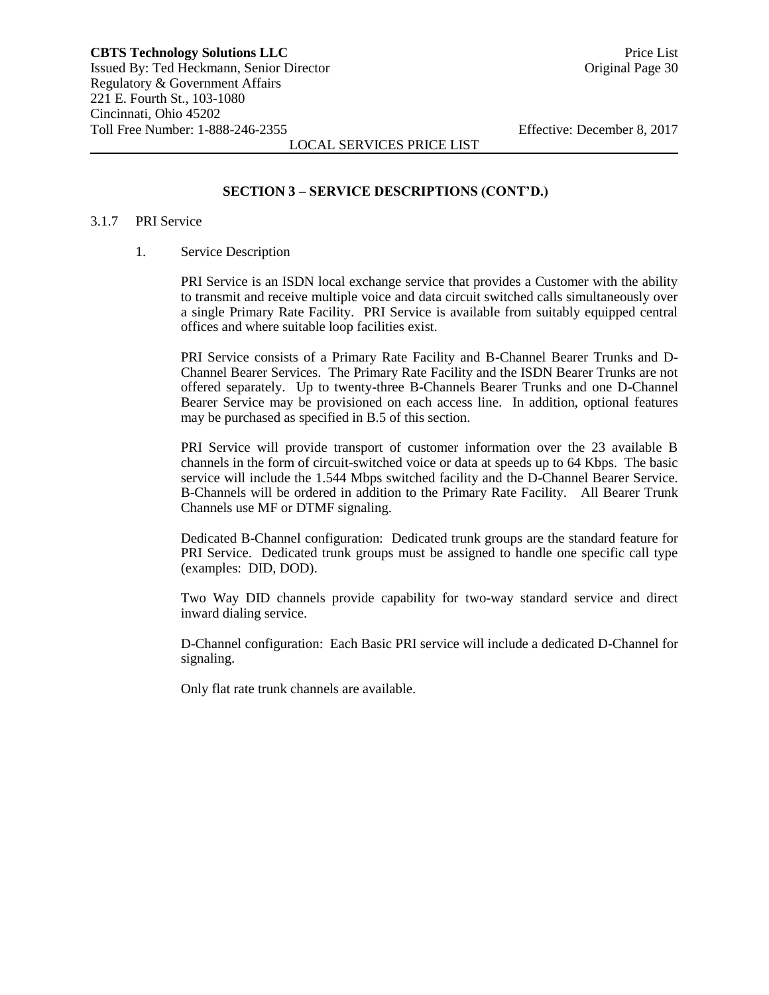#### **SECTION 3 – SERVICE DESCRIPTIONS (CONT'D.)**

#### 3.1.7 PRI Service

#### 1. Service Description

PRI Service is an ISDN local exchange service that provides a Customer with the ability to transmit and receive multiple voice and data circuit switched calls simultaneously over a single Primary Rate Facility. PRI Service is available from suitably equipped central offices and where suitable loop facilities exist.

PRI Service consists of a Primary Rate Facility and B-Channel Bearer Trunks and D-Channel Bearer Services. The Primary Rate Facility and the ISDN Bearer Trunks are not offered separately. Up to twenty-three B-Channels Bearer Trunks and one D-Channel Bearer Service may be provisioned on each access line. In addition, optional features may be purchased as specified in B.5 of this section.

PRI Service will provide transport of customer information over the 23 available B channels in the form of circuit-switched voice or data at speeds up to 64 Kbps. The basic service will include the 1.544 Mbps switched facility and the D-Channel Bearer Service. B-Channels will be ordered in addition to the Primary Rate Facility. All Bearer Trunk Channels use MF or DTMF signaling.

Dedicated B-Channel configuration: Dedicated trunk groups are the standard feature for PRI Service. Dedicated trunk groups must be assigned to handle one specific call type (examples: DID, DOD).

Two Way DID channels provide capability for two-way standard service and direct inward dialing service.

D-Channel configuration: Each Basic PRI service will include a dedicated D-Channel for signaling.

Only flat rate trunk channels are available.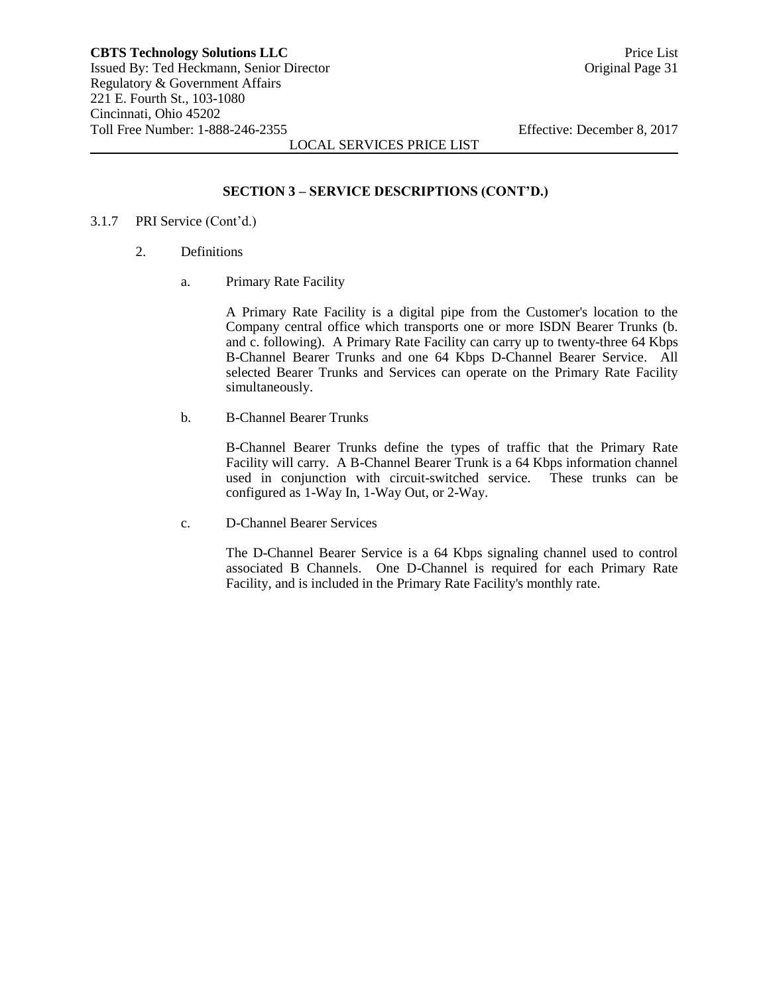## **SECTION 3 – SERVICE DESCRIPTIONS (CONT'D.)**

#### 3.1.7 PRI Service (Cont'd.)

- 2. Definitions
	- a. Primary Rate Facility

A Primary Rate Facility is a digital pipe from the Customer's location to the Company central office which transports one or more ISDN Bearer Trunks (b. and c. following). A Primary Rate Facility can carry up to twenty-three 64 Kbps B-Channel Bearer Trunks and one 64 Kbps D-Channel Bearer Service. All selected Bearer Trunks and Services can operate on the Primary Rate Facility simultaneously.

b. B-Channel Bearer Trunks

B-Channel Bearer Trunks define the types of traffic that the Primary Rate Facility will carry. A B-Channel Bearer Trunk is a 64 Kbps information channel used in conjunction with circuit-switched service. These trunks can be configured as 1-Way In, 1-Way Out, or 2-Way.

c. D-Channel Bearer Services

The D-Channel Bearer Service is a 64 Kbps signaling channel used to control associated B Channels. One D-Channel is required for each Primary Rate Facility, and is included in the Primary Rate Facility's monthly rate.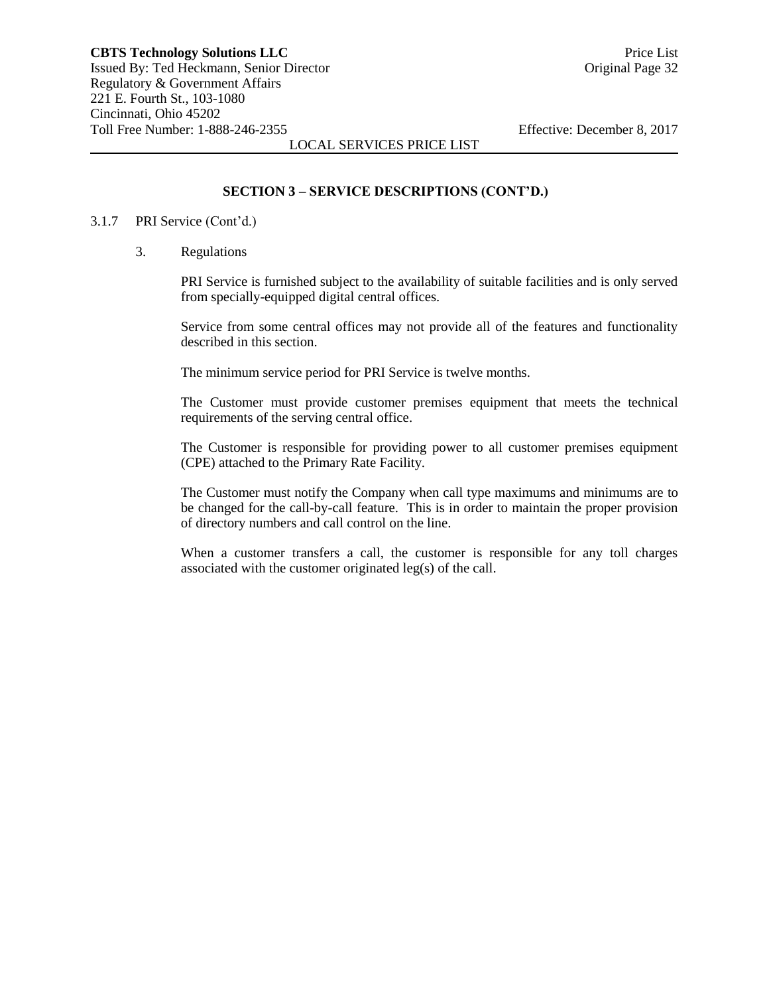#### **SECTION 3 – SERVICE DESCRIPTIONS (CONT'D.)**

#### 3.1.7 PRI Service (Cont'd.)

3. Regulations

PRI Service is furnished subject to the availability of suitable facilities and is only served from specially-equipped digital central offices.

Service from some central offices may not provide all of the features and functionality described in this section.

The minimum service period for PRI Service is twelve months.

The Customer must provide customer premises equipment that meets the technical requirements of the serving central office.

The Customer is responsible for providing power to all customer premises equipment (CPE) attached to the Primary Rate Facility.

The Customer must notify the Company when call type maximums and minimums are to be changed for the call-by-call feature. This is in order to maintain the proper provision of directory numbers and call control on the line.

When a customer transfers a call, the customer is responsible for any toll charges associated with the customer originated leg(s) of the call.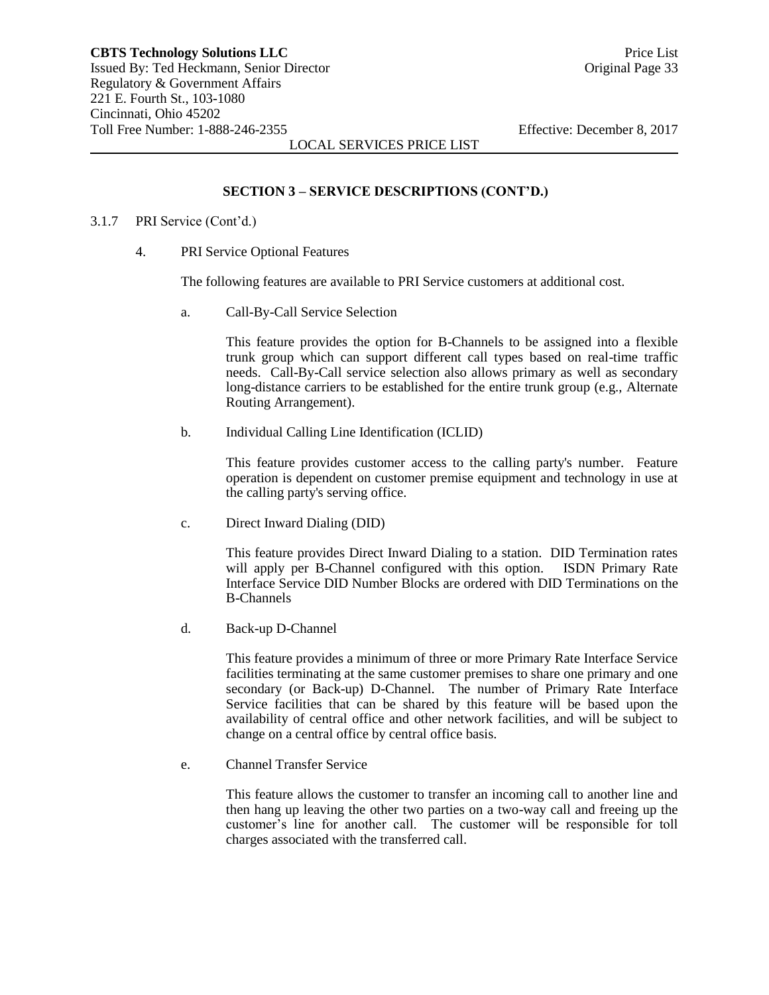# **SECTION 3 – SERVICE DESCRIPTIONS (CONT'D.)**

#### 3.1.7 PRI Service (Cont'd.)

4. PRI Service Optional Features

The following features are available to PRI Service customers at additional cost.

a. Call-By-Call Service Selection

This feature provides the option for B-Channels to be assigned into a flexible trunk group which can support different call types based on real-time traffic needs. Call-By-Call service selection also allows primary as well as secondary long-distance carriers to be established for the entire trunk group (e.g., Alternate Routing Arrangement).

b. Individual Calling Line Identification (ICLID)

This feature provides customer access to the calling party's number. Feature operation is dependent on customer premise equipment and technology in use at the calling party's serving office.

c. Direct Inward Dialing (DID)

This feature provides Direct Inward Dialing to a station. DID Termination rates will apply per B-Channel configured with this option. ISDN Primary Rate Interface Service DID Number Blocks are ordered with DID Terminations on the B-Channels

d. Back-up D-Channel

This feature provides a minimum of three or more Primary Rate Interface Service facilities terminating at the same customer premises to share one primary and one secondary (or Back-up) D-Channel. The number of Primary Rate Interface Service facilities that can be shared by this feature will be based upon the availability of central office and other network facilities, and will be subject to change on a central office by central office basis.

e. Channel Transfer Service

This feature allows the customer to transfer an incoming call to another line and then hang up leaving the other two parties on a two-way call and freeing up the customer's line for another call. The customer will be responsible for toll charges associated with the transferred call.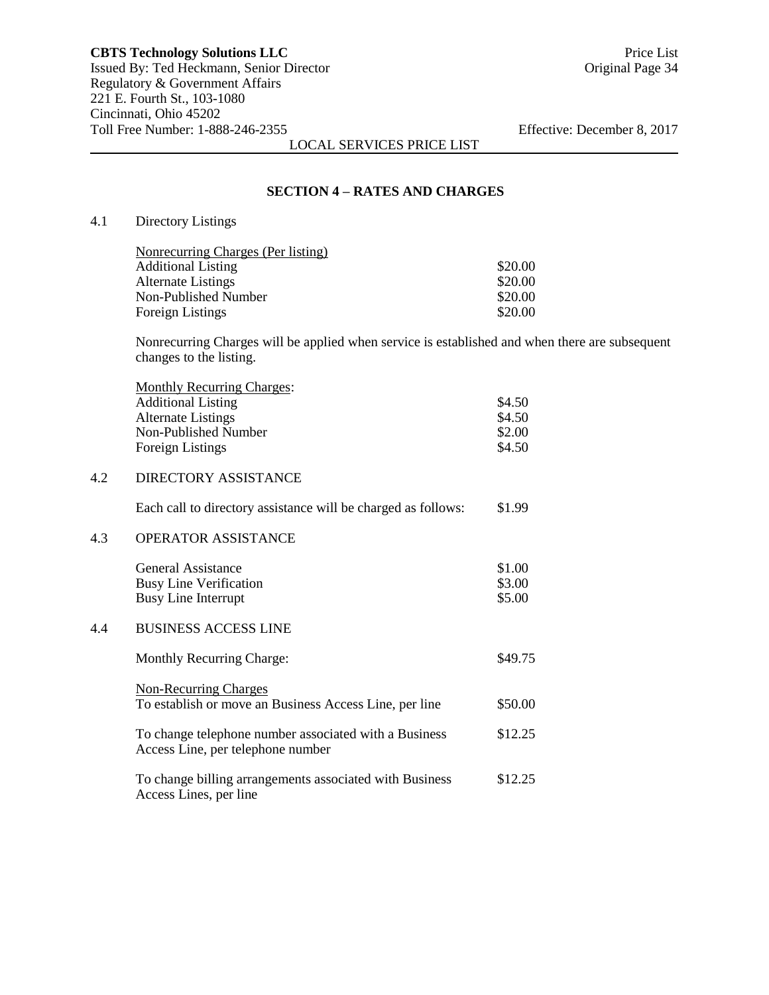#### **SECTION 4 – RATES AND CHARGES**

# 4.1 Directory Listings

 $4.3$ 

| Nonrecurring Charges (Per listing) |         |
|------------------------------------|---------|
| <b>Additional Listing</b>          | \$20.00 |
| Alternate Listings                 | \$20.00 |
| Non-Published Number               | \$20.00 |
| Foreign Listings                   | \$20.00 |
|                                    |         |

Nonrecurring Charges will be applied when service is established and when there are subsequent changes to the listing.

|     | <b>Monthly Recurring Charges:</b>                                                          |         |
|-----|--------------------------------------------------------------------------------------------|---------|
|     | <b>Additional Listing</b>                                                                  | \$4.50  |
|     | <b>Alternate Listings</b>                                                                  | \$4.50  |
|     | Non-Published Number                                                                       | \$2.00  |
|     | <b>Foreign Listings</b>                                                                    | \$4.50  |
| 4.2 | <b>DIRECTORY ASSISTANCE</b>                                                                |         |
|     | Each call to directory assistance will be charged as follows:                              | \$1.99  |
| 4.3 | <b>OPERATOR ASSISTANCE</b>                                                                 |         |
|     | <b>General Assistance</b>                                                                  | \$1.00  |
|     | <b>Busy Line Verification</b>                                                              | \$3.00  |
|     | <b>Busy Line Interrupt</b>                                                                 | \$5.00  |
| 4.4 | <b>BUSINESS ACCESS LINE</b>                                                                |         |
|     | <b>Monthly Recurring Charge:</b>                                                           | \$49.75 |
|     | <b>Non-Recurring Charges</b>                                                               |         |
|     | To establish or move an Business Access Line, per line                                     | \$50.00 |
|     | To change telephone number associated with a Business<br>Access Line, per telephone number | \$12.25 |
|     | To change billing arrangements associated with Business<br>Access Lines, per line          | \$12.25 |